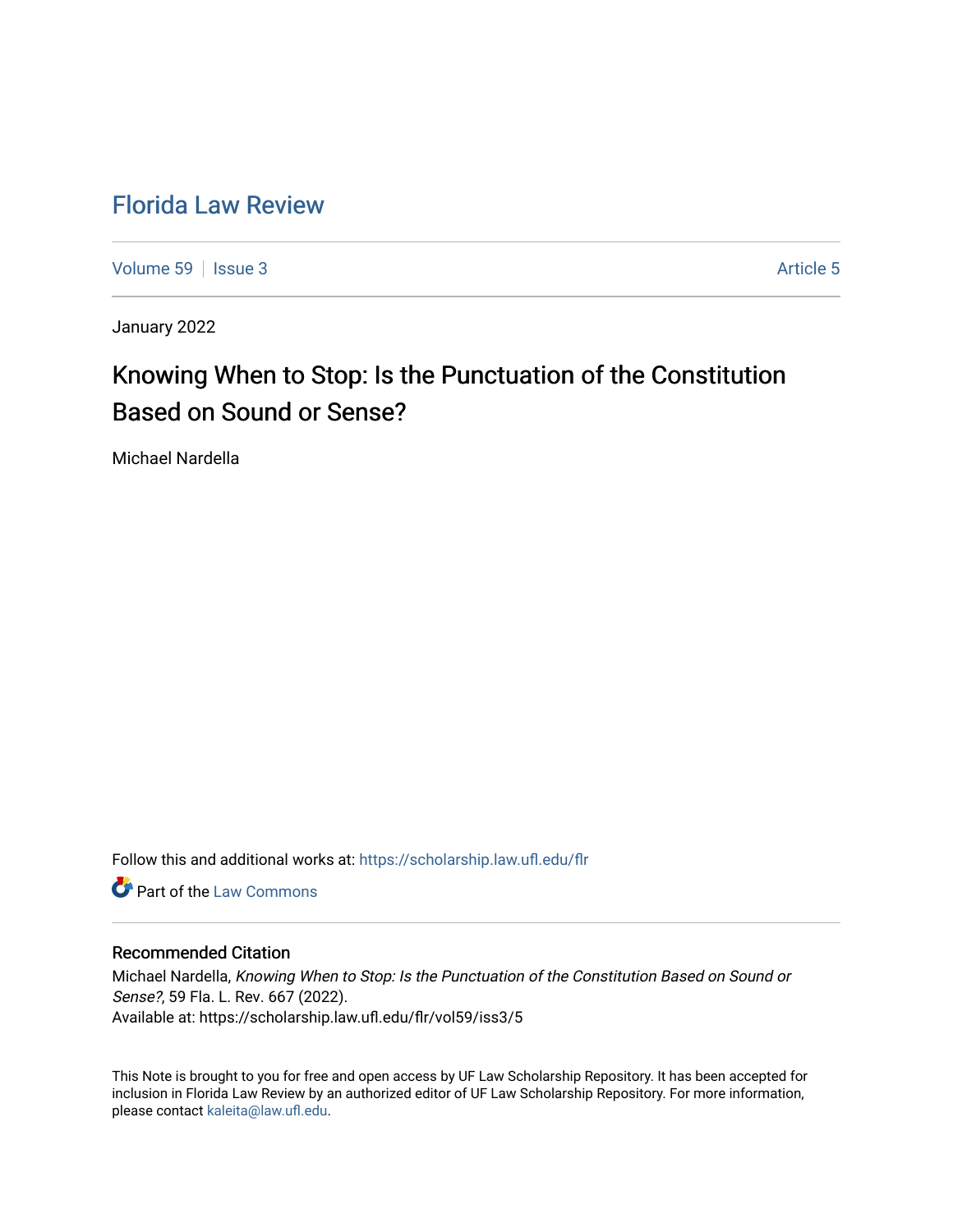# [Florida Law Review](https://scholarship.law.ufl.edu/flr)

[Volume 59](https://scholarship.law.ufl.edu/flr/vol59) | [Issue 3](https://scholarship.law.ufl.edu/flr/vol59/iss3) Article 5

January 2022

# Knowing When to Stop: Is the Punctuation of the Constitution Based on Sound or Sense?

Michael Nardella

Follow this and additional works at: [https://scholarship.law.ufl.edu/flr](https://scholarship.law.ufl.edu/flr?utm_source=scholarship.law.ufl.edu%2Fflr%2Fvol59%2Fiss3%2F5&utm_medium=PDF&utm_campaign=PDFCoverPages)

**Part of the [Law Commons](http://network.bepress.com/hgg/discipline/578?utm_source=scholarship.law.ufl.edu%2Fflr%2Fvol59%2Fiss3%2F5&utm_medium=PDF&utm_campaign=PDFCoverPages)** 

# Recommended Citation

Michael Nardella, Knowing When to Stop: Is the Punctuation of the Constitution Based on Sound or Sense?, 59 Fla. L. Rev. 667 (2022). Available at: https://scholarship.law.ufl.edu/flr/vol59/iss3/5

This Note is brought to you for free and open access by UF Law Scholarship Repository. It has been accepted for inclusion in Florida Law Review by an authorized editor of UF Law Scholarship Repository. For more information, please contact [kaleita@law.ufl.edu](mailto:kaleita@law.ufl.edu).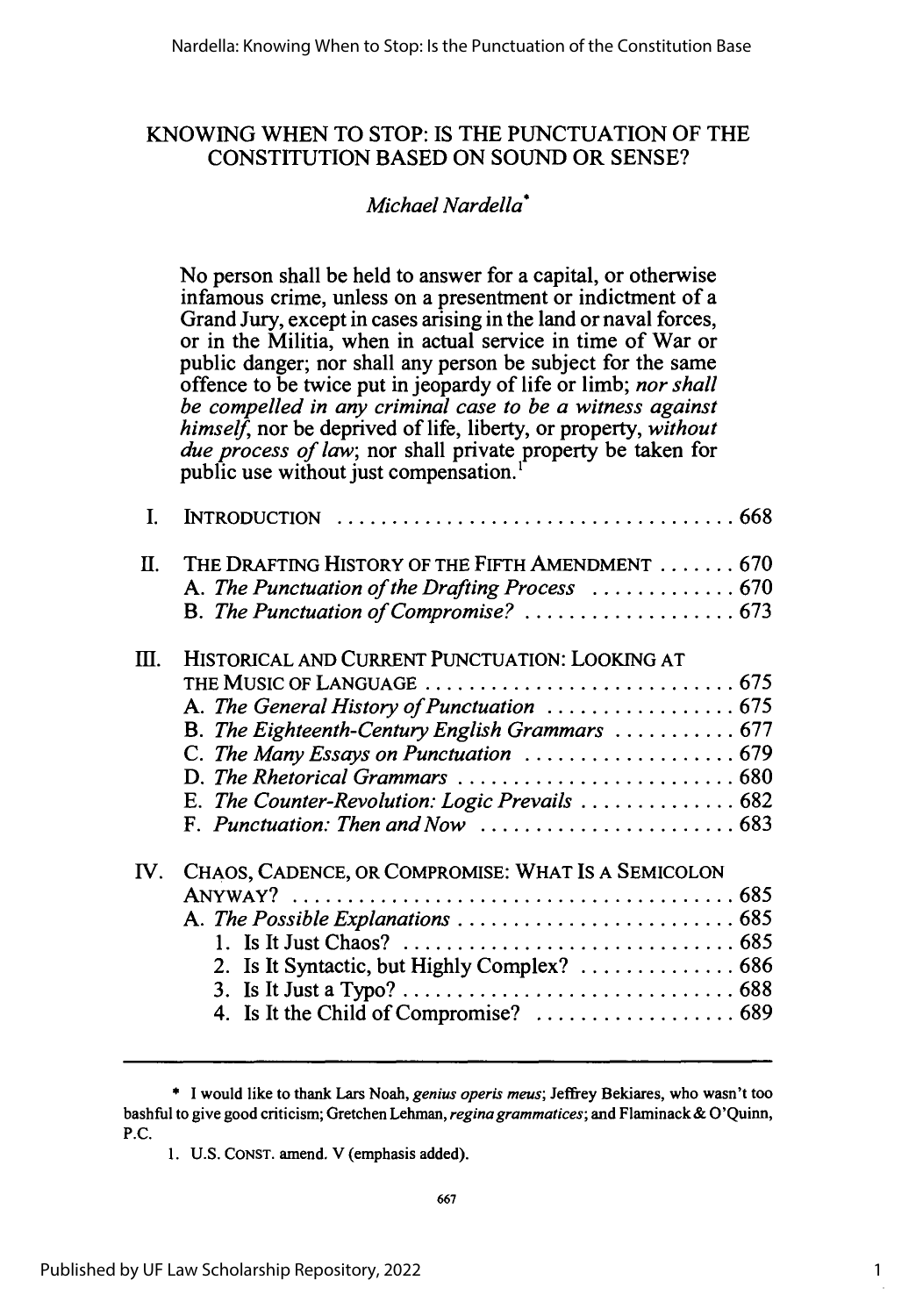# KNOWING WHEN TO STOP: IS THE PUNCTUATION OF THE CONSTITUTION **BASED** ON SOUND OR SENSE?

# *Michael Nardella\**

No person shall be held to answer for a capital, or otherwise infamous crime, unless on a presentment or indictment of a Grand Jury, except in cases arising in the land or naval forces, or in the Militia, when in actual service in time of War or public danger; nor shall any person be subject for the same offence to be twice put in jeopardy of life or limb; *nor shall be compelled in any criminal case to be a witness against himself,* nor be deprived of life, liberty, or property, *without due process of law;* nor shall private property be taken for public use without just compensation.'

| I.  |                                                                                                                                                                                                                                        |
|-----|----------------------------------------------------------------------------------------------------------------------------------------------------------------------------------------------------------------------------------------|
| П.  | THE DRAFTING HISTORY OF THE FIFTH AMENDMENT 670<br>A. The Punctuation of the Drafting Process  670                                                                                                                                     |
| Ш.  | HISTORICAL AND CURRENT PUNCTUATION: LOOKING AT<br>B. The Eighteenth-Century English Grammars  677<br>E. The Counter-Revolution: Logic Prevails  682<br>F. Punctuation: Then and Now $\ldots \ldots \ldots \ldots \ldots \ldots \ldots$ |
| IV. | CHAOS, CADENCE, OR COMPROMISE: WHAT IS A SEMICOLON                                                                                                                                                                                     |

<sup>\*</sup> I would like to thank Lars Noah, *genius operis meus;* Jeffrey Bekiares, who wasn't too bashful to give good criticism; Gretchen Lehman, *reginagrammatices;* and Flaminack & O'Quinn, P.C.

<sup>1.</sup> U.S. CONST. amend. V (emphasis added).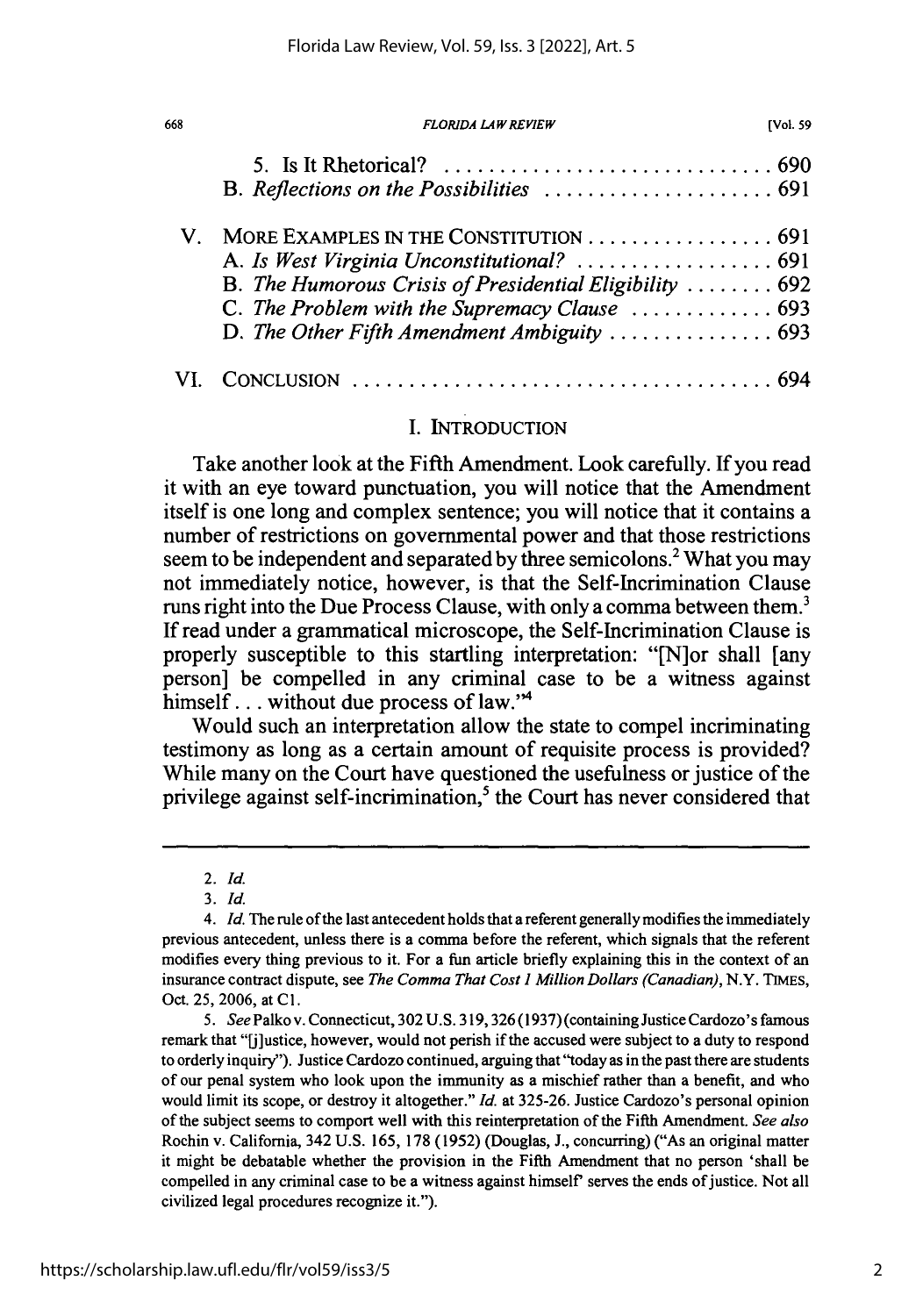| V. MORE EXAMPLES IN THE CONSTITUTION  691<br>B. The Humorous Crisis of Presidential Eligibility  692<br>C. The Problem with the Supremacy Clause  693<br>D. The Other Fifth Amendment Ambiguity  693 |  |
|------------------------------------------------------------------------------------------------------------------------------------------------------------------------------------------------------|--|
|                                                                                                                                                                                                      |  |

## **I.** INTRODUCTION

Take another look at the Fifth Amendment. Look carefully. If you read it with an eye toward punctuation, you will notice that the Amendment itself is one long and complex sentence; you will notice that it contains a number of restrictions on governmental power and that those restrictions seem to be independent and separated by three semicolons.<sup>2</sup> What you may not immediately notice, however, is that the Self-Incrimination Clause runs right into the Due Process Clause, with only a comma between them.' **If** read under a grammatical microscope, the Self-Incrimination Clause is properly susceptible to this startling interpretation: "[N]or shall [any person] be compelled in any criminal case to be a witness against himself... without due process of law."<sup>4</sup>

Would such an interpretation allow the state to compel incriminating testimony as long as a certain amount of requisite process is provided? While many on the Court have questioned the usefulness or justice of the privilege against self-incrimination,<sup>5</sup> the Court has never considered that

668

<sup>2.</sup> *Id.*

*<sup>3.</sup> Id.*

<sup>4.</sup> *Id.* The rule of the last antecedent holds that a referent generally modifies the immediately previous antecedent, unless there is a comma before the referent, which signals that the referent modifies every thing previous to it. For a fun article briefly explaining this in the context of an insurance contract dispute, see *The Comma That Cost I Million Dollars (Canadian),* N.Y. **TIMES,** Oct. **25, 2006,** at **Cl.**

*<sup>5.</sup> See* Palko v. Connecticut, **302 U.S. 319,326 (1937)** (containing Justice Cardozo's famous remark that "[j]ustice, however, would not perish if the accused were subject to a duty to respond to orderly inquiry"). Justice Cardozo continued, arguing that "today as in the past there are students of our penal system who look upon the immunity as a mischief rather than a benefit, and who would limit its scope, or destroy it altogether." *Id.* at **325-26.** Justice Cardozo's personal opinion of the subject seems to comport well with this reinterpretation of the Fifth Amendment. *See also* Rochin v. California, 342 **U.S. 165, 178 (1952)** (Douglas, **J.,** concurring) ("As an original matter it might be debatable whether the provision in the Fifth Amendment that no person 'shall be compelled in any criminal case to be a witness against himself serves the ends of justice. Not all civilized legal procedures recognize it.").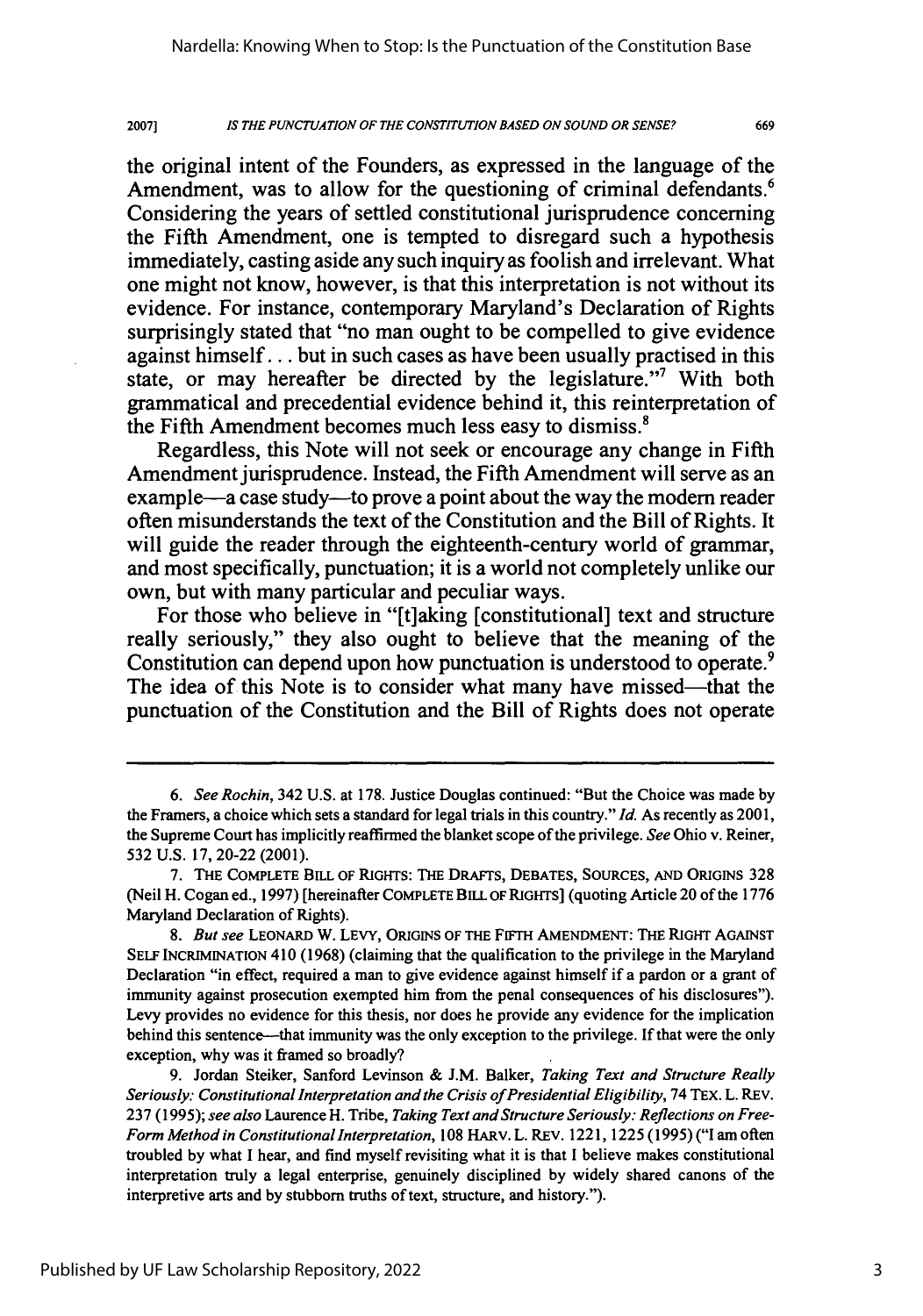2007] *IS THE PUNCTUATION OF THE CONSTITUTION BASED ON SOUND OR SENSE?* 669

the original intent of the Founders, as expressed in the language of the Amendment, was to allow for the questioning of criminal defendants.<sup>6</sup> Considering the years of settled constitutional jurisprudence concerning the Fifth Amendment, one is tempted to disregard such a hypothesis immediately, casting aside any such inquiry as foolish and irrelevant. What one might not know, however, is that this interpretation is not without its evidence. For instance, contemporary Maryland's Declaration of Rights surprisingly stated that "no man ought to be compelled to give evidence against himself... but in such cases as have been usually practised in this state, or may hereafter be directed by the legislature."7 With both grammatical and precedential evidence behind it, this reinterpretation of the Fifth Amendment becomes much less easy to dismiss.'

Regardless, this Note will not seek or encourage any change in Fifth Amendment jurisprudence. Instead, the Fifth Amendment will serve as an example—a case study—to prove a point about the way the modern reader often misunderstands the text of the Constitution and the Bill of Rights. It will guide the reader through the eighteenth-century world of grammar, and most specifically, punctuation; it is a world not completely unlike our own, but with many particular and peculiar ways.

For those who believe in "[t]aking [constitutional] text and structure really seriously," they also ought to believe that the meaning of the Constitution can depend upon how punctuation is understood to operate.<sup>9</sup> The idea of this Note is to consider what many have missed—that the punctuation of the Constitution and the Bill of Rights does not operate

*<sup>6.</sup> See Rochin,* 342 U.S. at 178. Justice Douglas continued: "But the Choice was made by the Framers, a choice which sets a standard for legal trials in this country." *Id.* As recently as 2001, the Supreme Court has implicitly reaffirmed the blanket scope of the privilege. *See* Ohio v. Reiner, 532 U.S. 17, 20-22 (2001).

<sup>7.</sup> THE COMPLETE BILL OF RIGHTS: THE DRAFTS, **DEBATES,** SOURCES, AND ORIGINS **328** (Neil H. Cogan ed., 1997) [hereinafter COMPLETE BILL OF RIGHTS] (quoting Article 20 of the 1776 Maryland Declaration of Rights).

*<sup>8.</sup> But see* LEONARD W. LEVY, ORIGINS OF THE FIFTH AMENDMENT: THE RIGHT AGAINST SELF INCRIMINATION 410 (1968) (claiming that the qualification to the privilege in the Maryland Declaration "in effect, required a man to give evidence against himself if a pardon or a grant of immunity against prosecution exempted him from the penal consequences of his disclosures"). Levy provides no evidence for this thesis, nor does he provide any evidence for the implication behind this sentence-that immunity was the only exception to the privilege. If that were the only exception, why was it framed so broadly?

<sup>9.</sup> Jordan Steiker, Sanford Levinson & J.M. Balker, *Taking Text and Structure Really* Seriously: Constitutional Interpretation and the Crisis of Presidential Eligibility, 74 TEX. L. REV. **237** (1995); *see also* Laurence H. Tribe, *Taking Text and Structure Seriously: Reflections on Free-Form Method in Constitutional Interpretation,* **108** HARv. L. REv. 1221, 1225 (1995) ("I am often troubled **by** what I hear, and find myself revisiting what it is that I believe makes constitutional interpretation truly a legal enterprise, genuinely disciplined **by** widely shared canons of the interpretive arts and **by** stubborn truths of text, structure, and history.").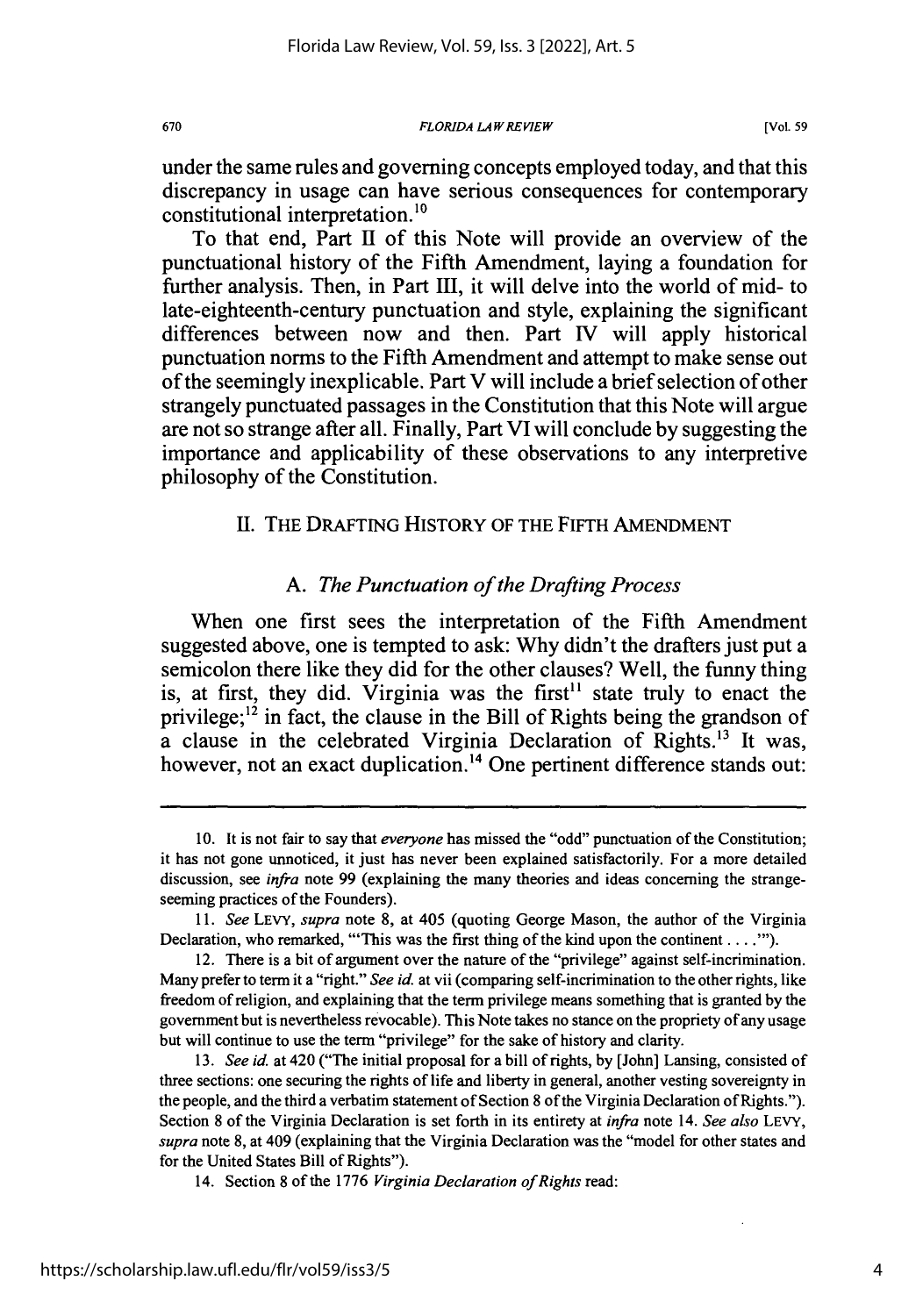under the same rules and governing concepts employed today, and that this discrepancy in usage can have serious consequences for contemporary constitutional interpretation. <sup>10</sup>

To that end, Part **II** of this Note will provide an overview of the punctuational history of the Fifth Amendment, laying a foundation for further analysis. Then, in Part **Il,** it will delve into the world of mid- to late-eighteenth-century punctuation and style, explaining the significant differences between now and then. Part **IV** will apply historical punctuation norms to the Fifth Amendment and attempt to make sense out of the seemingly inexplicable. Part V will include a brief selection of other strangely punctuated passages in the Constitution that this Note will argue are not so strange after all. Finally, Part VI will conclude **by** suggesting the importance and applicability of these observations to any interpretive philosophy of the Constitution.

### **II.** THE DRAFTING HISTORY OF THE FIFTH AMENDMENT

### *A. The Punctuation of the Drafting Process*

When one first sees the interpretation of the Fifth Amendment suggested above, one is tempted to ask: **Why** didn't the drafters just put a semicolon there like they did for the other clauses? Well, the funny thing is, at first, they did. Virginia was the first<sup>11</sup> state truly to enact the privilege; $^{12}$  in fact, the clause in the Bill of Rights being the grandson of  $\alpha$  clause in the celebrated Virginia Declaration of Rights.<sup>13</sup> It was, however, not an exact duplication.<sup>14</sup> One pertinent difference stands out:

670

**<sup>10.</sup>** It is not fair to say that *everyone* has missed the "odd" punctuation of the Constitution; it has not gone unnoticed, it just has never been explained satisfactorily. For a more detailed discussion, see *infra* note **99** (explaining the many theories and ideas concerning the strangeseeming practices of the Founders).

*<sup>11.</sup> See* LEVY, *supra* note **8,** at 405 (quoting George Mason, the author of the Virginia Declaration, who remarked, "'This was the first thing of the kind upon the continent **.... '").**

<sup>12.</sup> There is a bit of argument over the nature of the "privilege" against self-incrimination. Many prefer to term it a "right." *See id.* at vii (comparing self-incrimination to the other rights, like freedom of religion, and explaining that the term privilege means something that is granted **by** the government but is nevertheless revocable). This Note takes no stance on the propriety of any usage but will continue to use the term "privilege" for the sake of history and clarity.

**<sup>13.</sup>** *See id.* at 420 ("The initial proposal for a bill of rights, **by** [John] Lansing, consisted of three sections: one securing the rights of life and liberty in general, another vesting sovereignty in the people, and the third a verbatim statement of Section **8** of the Virginia Declaration of Rights."). Section **8** of the Virginia Declaration is set forth in its entirety at *infra* note 14. *See also* **LEVY,** *supra* note **8,** at 409 (explaining that the Virginia Declaration was the "model for other states and for the United States Bill of Rights").

<sup>14.</sup> Section **8** of the **1776** *Virginia Declaration of Rights* read: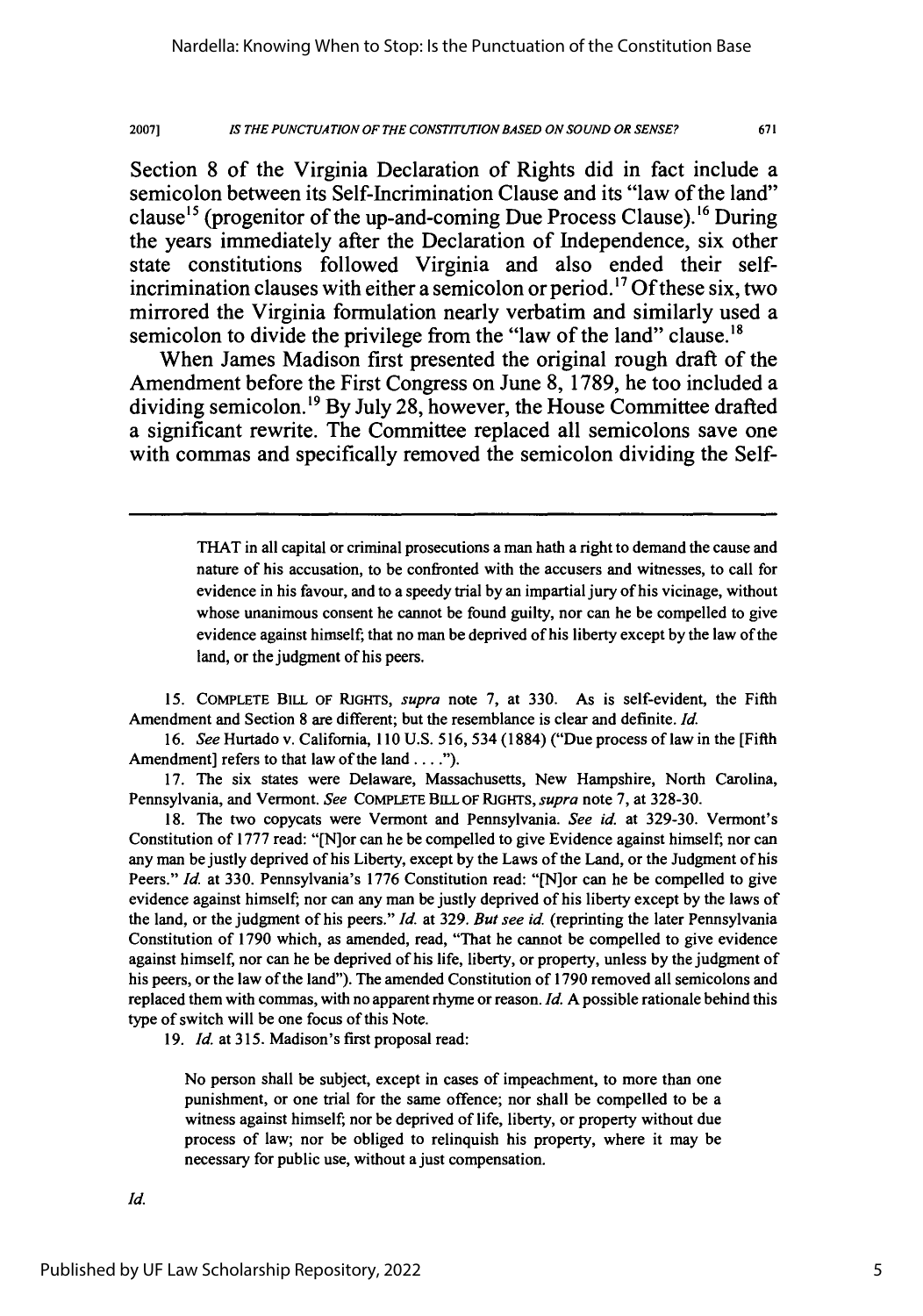*IS THE PUNCTUATION OF THE CONSTITUTION BASED ON SOUND OR SENSE?* **2007]**

Section **8** of the Virginia Declaration of Rights did in fact include a semicolon between its Self-Incrimination Clause and its "law of the land" clause<sup>15</sup> (progenitor of the up-and-coming Due Process Clause). <sup>16</sup> During the years immediately after the Declaration of Independence, six other state constitutions followed Virginia and also ended their selfincrimination clauses with either a semicolon or period.17 **Of** these six, two mirrored the Virginia formulation nearly verbatim and similarly used a semicolon to divide the privilege from the "law of the land" clause.<sup>18</sup>

When James Madison first presented the original rough draft of the Amendment before the First Congress on June **8, 1789,** he too included a dividing semicolon.'9 **By** July **28,** however, the House Committee drafted a significant rewrite. The Committee replaced all semicolons save one with commas and specifically removed the semicolon dividing the Self-

> THAT in all capital or criminal prosecutions a man hath a right to demand the cause and nature of his accusation, to be confronted with the accusers and witnesses, to call for evidence in his favour, and to a speedy trial by an impartial jury of his vicinage, without whose unanimous consent he cannot be found guilty, nor can he be compelled to give evidence against himself; that no man be deprived of his liberty except by the law of the land, or the judgment of his peers.

**15.** COMPLETE BILL OF RIGHTS, supra note 7, at 330. As is self-evident, the Fifth Amendment and Section 8 are different; but the resemblance is clear and definite. *Id.*

16. *See* Hurtado v. California, 110 U.S. 516, 534 (1884) ("Due process of law in the [Fifth Amendment] refers to that law of the land . . . .").

17. The six states were Delaware, Massachusetts, New Hampshire, North Carolina, Pennsylvania, and Vermont. *See* COMPLETE BILL OF RIGHTS, *supra* note 7, at 328-30.

18. The two copycats were Vermont and Pennsylvania. *See id.* at 329-30. Vermont's Constitution of 1777 read: "[N]or can he be compelled to give Evidence against himself; nor can any man be justly deprived of his Liberty, except by the Laws of the Land, or the Judgment of his Peers." *Id.* at 330. Pennsylvania's 1776 Constitution read: "[N]or can he be compelled to give evidence against himself; nor can any man be justly deprived of his liberty except by the laws of the land, or the judgment of his peers." *Id.* at 329. *But see id.* (reprinting the later Pennsylvania Constitution of 1790 which, as amended, read, "That he cannot be compelled to give evidence against himself, nor can he be deprived of his life, liberty, or property, unless by the judgment of his peers, or the law of the land"). The amended Constitution of 1790 removed all semicolons and replaced them with commas, with no apparent rhyme or reason. *Id.* A possible rationale behind this type of switch will be one focus of this Note.

19. *Id.* at 315. Madison's first proposal read:

No person shall be subject, except in cases of impeachment, to more than one punishment, or one trial for the same offence; nor shall be compelled to be a witness against himself; nor be deprived of life, liberty, or property without due process of law; nor be obliged to relinquish his property, where it may be necessary for public use, without a just compensation.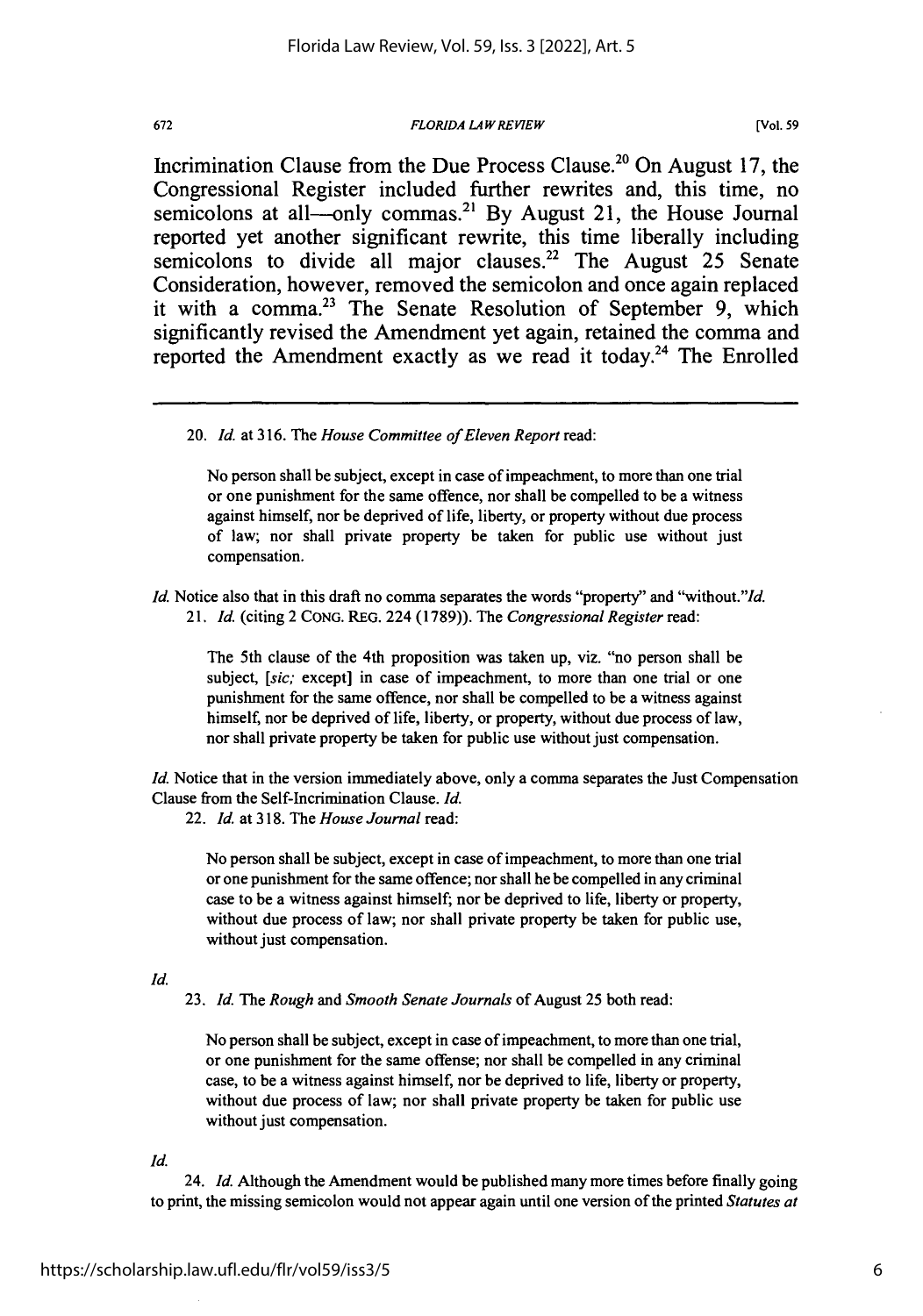#### *FLORIDA LAW REVIEW*

**[Vol. 59**

Incrimination Clause from the Due Process Clause.<sup>20</sup> On August 17, the Congressional Register included further rewrites and, this time, no semicolons at all—only commas.<sup>21</sup> By August 21, the House Journal reported yet another significant rewrite, this time liberally including semicolons to divide all major clauses.22 The August **25** Senate Consideration, however, removed the semicolon and once again replaced it with a comma.23 The Senate Resolution of September **9,** which significantly revised the Amendment yet again, retained the comma and reported the Amendment exactly as we read it today.<sup>24</sup> The Enrolled

No person shall be subject, except in case of impeachment, to more than one trial or one punishment for the same offence, nor shall be compelled to be a witness against himself, nor be deprived of life, liberty, or property without due process of law; nor shall private property be taken for public use without just compensation.

*Id.* Notice also that in this draft no comma separates the words "property" and "without."*Id. 21. Id.* (citing 2 **CONG.** REG. 224 (1789)). The *Congressional Register* read:

The 5th clause of the 4th proposition was taken up, viz. "no person shall be subject, [sic; except] in case of impeachment, to more than one trial or one punishment for the same offence, nor shall be compelled to be a witness against himself, nor be deprived of life, liberty, or property, without due process of law, nor shall private property be taken for public use without just compensation.

*Id.* Notice that in the version immediately above, only a comma separates the Just Compensation Clause from the Self-Incrimination Clause. *Id.*

22. *Id.* at 318. The *House Journal* read:

No person shall be subject, except in case of impeachment, to more than one trial or one punishment for the same offence; nor shall he be compelled in any criminal case to be a witness against himself; nor be deprived to life, liberty or property, without due process of law; nor shall private property be taken for public use, without just compensation.

*Id.*

23. *Id. The Rough and Smooth Senate Journals* of August 25 both read:

No person shall be subject, except in case of impeachment, to more than one trial, or one punishment for the same offense; nor shall be compelled in any criminal case, to be a witness against himself, nor be deprived to life, liberty or property, without due process of law; nor shall private property be taken for public use without just compensation.

*Id.*

24. *Id.* Although the Amendment would be published many more times before finally going to print, the missing semicolon would not appear again until one version of the printed *Statutes at*

<sup>20.</sup> *Id.* at 316. The *House Committee of Eleven Report* read: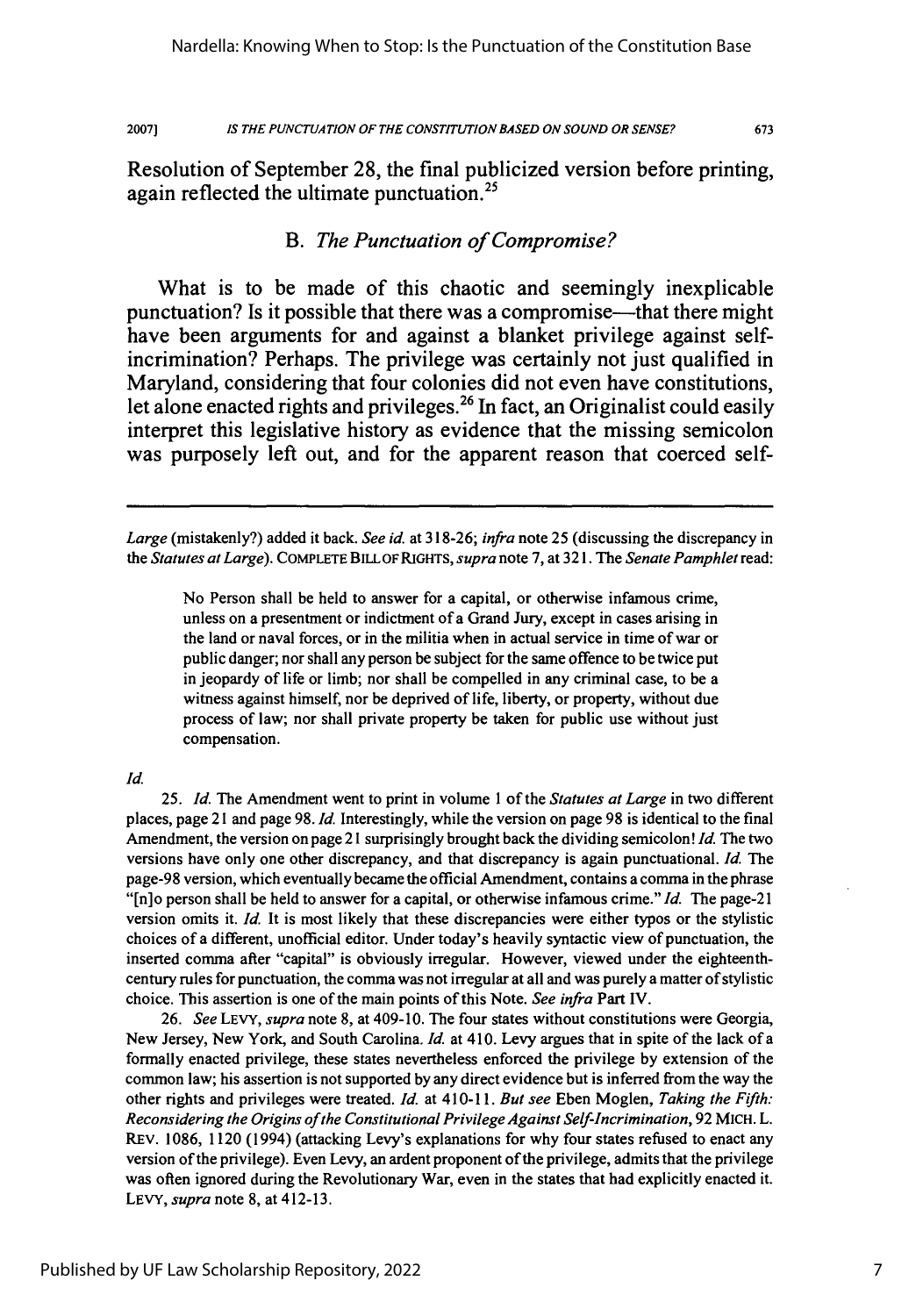2007]

673

Resolution of September **28,** the final publicized version before printing, again reflected the ultimate punctuation.<sup>25</sup>

# *B. The Punctuation of Compromise?*

What is to be made of this chaotic and seemingly inexplicable punctuation? Is it possible that there was a compromise—that there might have been arguments for and against a blanket privilege against selfincrimination? Perhaps. The privilege was certainly not just qualified in Maryland, considering that four colonies did not even have constitutions, let alone enacted rights and privileges.<sup>26</sup> In fact, an Originalist could easily interpret this legislative history as evidence that the missing semicolon was purposely left out, and for the apparent reason that coerced self-

No Person shall be held to answer for a capital, or otherwise infamous crime, unless on a presentment or indictment of a Grand Jury, except in cases arising in the land or naval forces, or in the militia when in actual service in time of war or public danger; nor shall any person be subject for the same offence to be twice put in jeopardy of life or limb; nor shall be compelled in any criminal case, to be a witness against himself, nor be deprived of life, liberty, or property, without due process of law; nor shall private property be taken for public use without just compensation.

#### *Id.*

25. *Id.* The Amendment went to print in volume 1 of the *Statutes at Large* in two different places, page 21 and page 98. *Id.* Interestingly, while the version on page 98 is identical to the final Amendment, the version on page 21 surprisingly brought back the dividing semicolon! *Id.* The two versions have only one other discrepancy, and that discrepancy is again punctuational. *Id.* The page-98 version, which eventually became the official Amendment, contains a comma in the phrase "[n]o person shall be held to answer for a capital, or otherwise infamous crime." *Id.* The page-21 version omits it. *Id.* It is most likely that these discrepancies were either typos or the stylistic choices of a different, unofficial editor. Under today's heavily syntactic view of punctuation, the inserted comma after "capital" is obviously irregular. However, viewed under the eighteenthcentury rules for punctuation, the comma was not irregular at all and was purely a matter of stylistic choice. This assertion is one of the main points of this Note. *See infra* Part IV.

26. *See* LEVY, *supra* note 8, at 409-10. The four states without constitutions were Georgia, New Jersey, New York, and South Carolina. *Id.* at 410. Levy argues that in spite of the lack of a formally enacted privilege, these states nevertheless enforced the privilege by extension of the common law; his assertion is not supported by any direct evidence but is inferred from the way the other rights and privileges were treated. *Id.* at 410-11. *But see* Eben Moglen, *Taking the Fifth: Reconsidering the Origins of the Constitutional Privilege Against Self-Incrimination,* 92 MICH. L. REv. 1086, 1120 (1994) (attacking Levy's explanations for why four states refused to enact any version of the privilege). Even Levy, an ardent proponent of the privilege, admits that the privilege was often ignored during the Revolutionary War, even in the states that had explicitly enacted it. LEVY, *supra* note 8, at 412-13.

*Large* (mistakenly?) added it back. *See id.* at 318-26; *infra* note 25 (discussing the discrepancy in *the Statutes at Large).* COMPLETE BILL OF RIGHTS, *supra* note 7, at 321. The *Senate Pamphlet* read: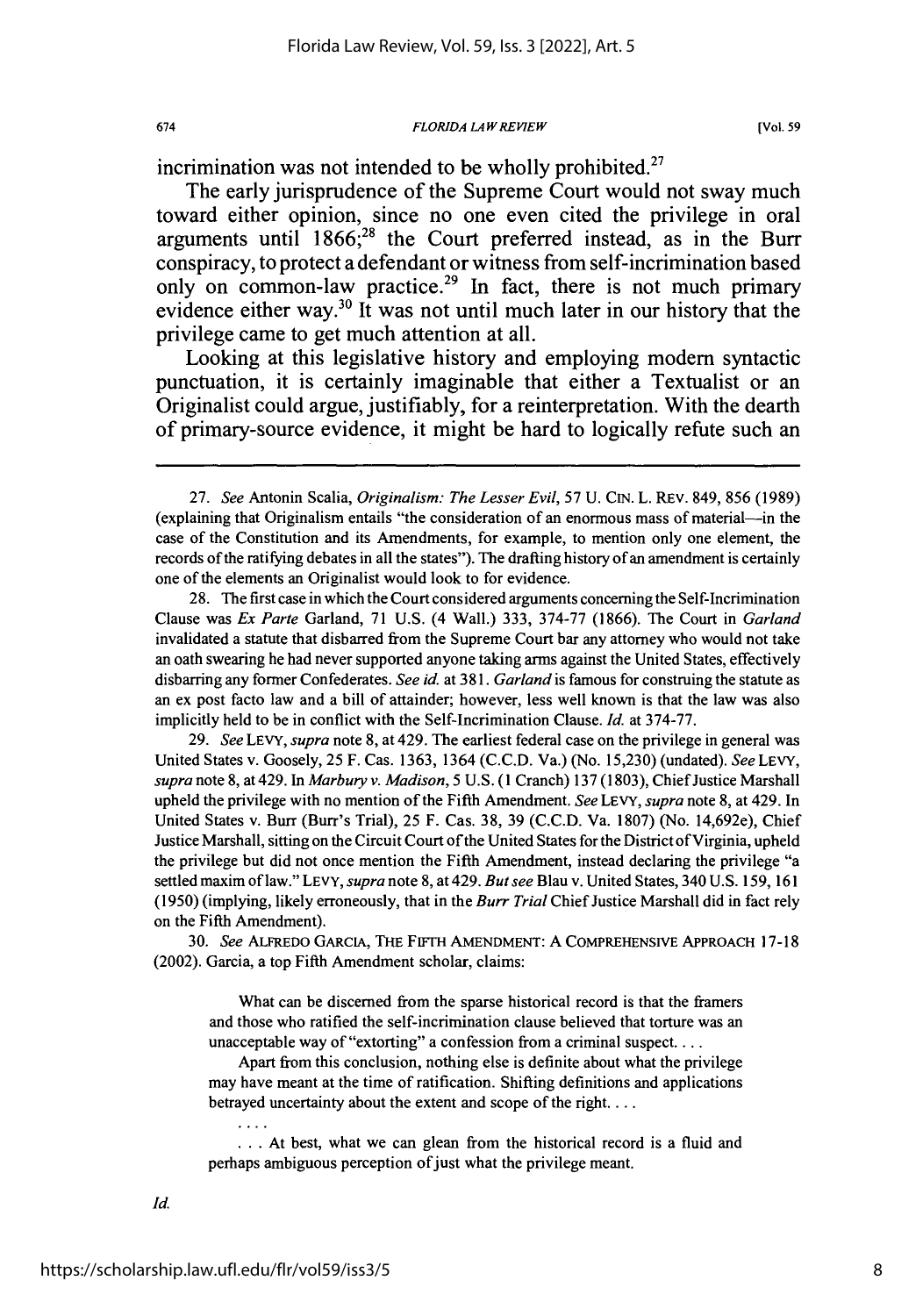incrimination was not intended to be wholly prohibited.<sup>27</sup>

The early jurisprudence of the Supreme Court would not sway much toward either opinion, since no one even cited the privilege in oral arguments until 1866;<sup>28</sup> the Court preferred instead, as in the Burr conspiracy, to protect a defendant or witness from self-incrimination based only on common-law practice.<sup>29</sup> In fact, there is not much primary evidence either way.<sup>30</sup> It was not until much later in our history that the privilege came to get much attention at all.

Looking at this legislative history and employing modem syntactic punctuation, it is certainly imaginable that either a Textualist or an Originalist could argue, justifiably, for a reinterpretation. With the dearth of primary-source evidence, it might be hard to logically refute such an

28. The first case in which the Court considered arguments concerning the Self-Incrimination Clause was *Ex Parte* Garland, 71 U.S. (4 Wall.) 333, 374-77 (1866). The Court in *Garland* invalidated a statute that disbarred from the Supreme Court bar any attorney who would not take an oath swearing he had never supported anyone taking arms against the United States, effectively disbarring any former Confederates. *See id.* at 381. *Garland* is famous for construing the statute as an ex post facto law and a bill of attainder; however, less well known is that the law was also implicitly held to be in conflict with the Self-Incrimination Clause. *Id.* at 374-77.

29. *See* LEVY, *supra* note 8, at 429. The earliest federal case on the privilege in general was United States v. Goosely, **25** F. Cas. 1363, 1364 (C.C.D. Va.) (No. 15,230) (undated). See LEVY, *supra* note 8, at 429. In *Marbury v. Madison,* **5** U.S. (1 Cranch) 137 (1803), Chief Justice Marshall upheld the privilege with no mention of the Fifth Amendment. *See* LEVY, *supra* note 8, at 429. In United States v. Burr (Burr's Trial), 25 F. Cas. 38, 39 (C.C.D. Va. 1807) (No. 14,692e), Chief Justice Marshall, sitting on the Circuit Court of the United States for the District of Virginia, upheld the privilege but did not once mention the Fifth Amendment, instead declaring the privilege "a settled maxim of law." LEVY, *supra* note 8, at 429. *But see* Blau v. United States, 340 U.S. 159, 161 (1950) (implying, likely erroneously, that in the *Burr Trial* Chief Justice Marshall did in fact rely on the Fifth Amendment).

**30.** *See* ALFREDO GARCIA, **THE** FIFTH **AMENDMENT:** A COMPREHENSIVE APPROACH 17-18 (2002). Garcia, a top Fifth Amendment scholar, claims:

What can be discerned from the sparse historical record is that the framers and those who ratified the self-incrimination clause believed that torture was an unacceptable way of "extorting" a confession from a criminal suspect...

Apart from this conclusion, nothing else is definite about what the privilege may have meant at the time of ratification. Shifting definitions and applications betrayed uncertainty about the extent and scope of the right....

**...** At best, what we can glean from the historical record is a fluid and perhaps ambiguous perception of just what the privilege meant.

674

 $\cdots$ 

<sup>27.</sup> *See* Antonin Scalia, *Originalism: The Lesser Evil,* 57 U. CIN. L. REV. 849, 856 (1989) (explaining that Originalism entails "the consideration of an enormous mass of material-in the case of the Constitution and its Amendments, for example, to mention only one element, the records of the ratifying debates in all the states"). The drafting history of an amendment is certainly one of the elements an Originalist would look to for evidence.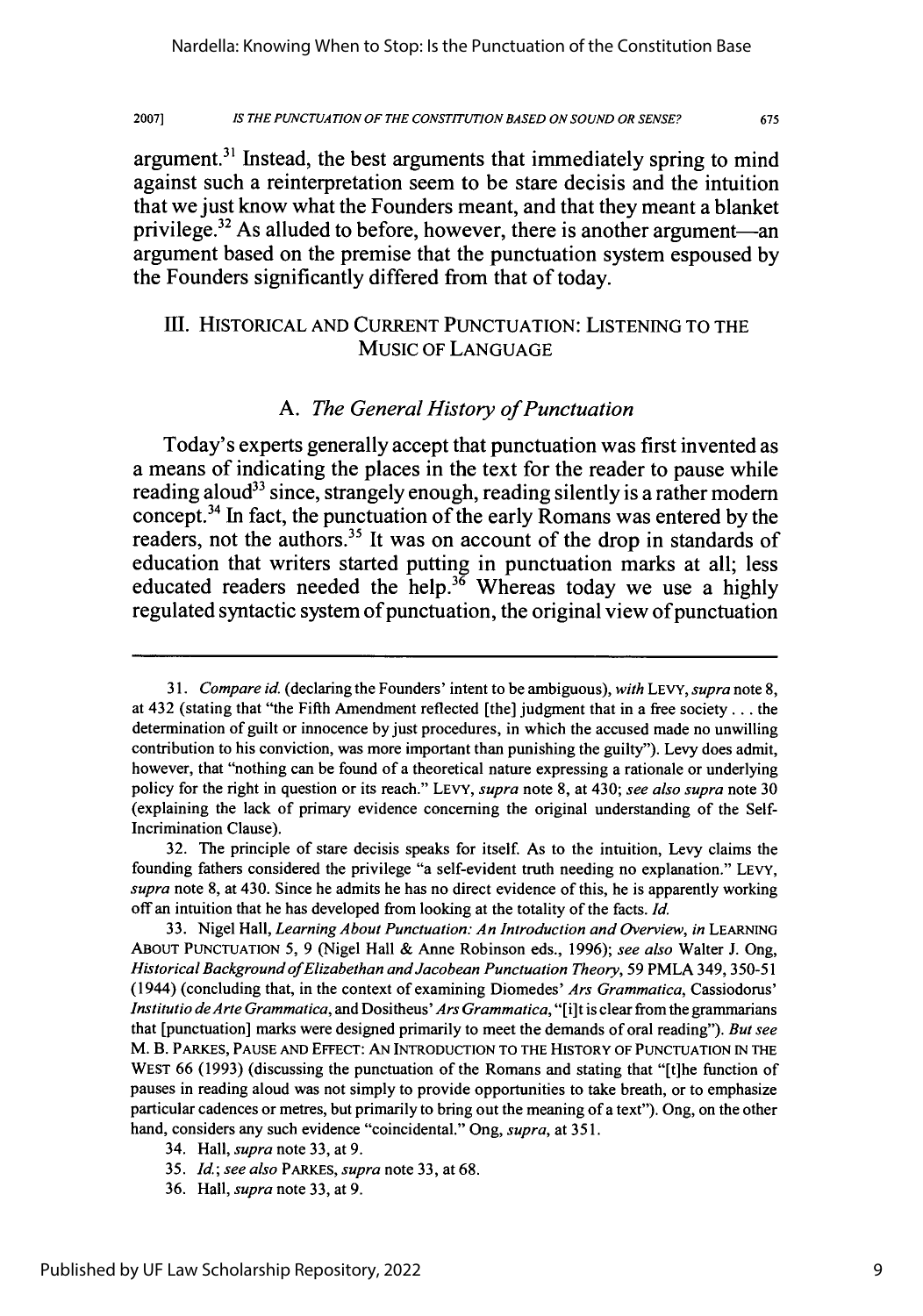2007] *IS THE PUNCTUATION OF THE CONSTITUTION BASED ON SOUND OR SENSE?*

argument.3' Instead, the best arguments that immediately spring to mind against such a reinterpretation seem to be stare decisis and the intuition that we just know what the Founders meant, and that they meant a blanket privilege.<sup>32</sup> As alluded to before, however, there is another argument-an argument based on the premise that the punctuation system espoused **by** the Founders significantly differed from that of today.

# III. HISTORICAL AND CURRENT PUNCTUATION: LISTENING TO THE MUSIC OF LANGUAGE

### *A. The General History of Punctuation*

Today's experts generally accept that punctuation was first invented as a means of indicating the places in the text for the reader to pause while reading aloud<sup>33</sup> since, strangely enough, reading silently is a rather modern concept.34 In fact, the punctuation of the early Romans was entered **by** the readers, not the authors.<sup>35</sup> It was on account of the drop in standards of education that writers started putting in punctuation marks at all; less educated readers needed the help.36 Whereas today we use a **highly** regulated syntactic system of punctuation, the original view of punctuation

34. Hall, *supra* note 33, at 9.

36. Hall, *supra* note 33, at 9.

*<sup>31.</sup> Compare id.* (declaring the Founders' intent to be ambiguous), *with* **LEVY,** *supra* note 8, at 432 (stating that "the Fifth Amendment reflected [the] judgment that in a free society... the determination of guilt or innocence by just procedures, in which the accused made no unwilling contribution to his conviction, was more important than punishing the guilty"). Levy does admit, however, that "nothing can be found of a theoretical nature expressing a rationale or underlying policy for the right in question or its reach." LEVY, *supra* note 8, at 430; *see also supra* note 30 (explaining the lack of primary evidence concerning the original understanding of the Self-Incrimination Clause).

<sup>32.</sup> The principle of stare decisis speaks for itself. As to the intuition, Levy claims the founding fathers considered the privilege "a self-evident truth needing no explanation." LEVY, *supra* note 8, at 430. Since he admits he has no direct evidence of this, he is apparently working off an intuition that he has developed from looking at the totality of the facts. *Id.*

<sup>33.</sup> Nigel Hall, *Learning About Punctuation: An Introduction and Overview, in* **LEARNING ABOUT PUNCTUATION** 5, 9 (Nigel Hall & Anne Robinson eds., 1996); *see also* Walter J. Ong, *Historical* Background of *Elizabethan and Jacobean Punctuation Theory,* 59 PMLA 349, 350-51 (1944) (concluding that, in the context of examining Diomedes' *Ars Grammatica,* Cassiodorus' *Institutio de Arte Grammatica, and Dositheus' Ars Grammatica,* "[i]t is clear from the grammarians that [punctuation] marks were designed primarily to meet the demands of oral reading"). *But see* M. B. PARKES, **PAUSE AND** EFFECT: AN **INTRODUCTION** TO THE HISTORY OF **PUNCTUATION IN** THE WEST 66 (1993) (discussing the punctuation of the Romans and stating that "[t]he function of pauses in reading aloud was not simply to provide opportunities to take breath, or to emphasize particular cadences or metres, but primarily to bring out the meaning of a text"). Ong, on the other hand, considers any such evidence "coincidental." Ong, *supra,* at 351.

<sup>35.</sup> *Id; see also* PARKES, *supra* note 33, at 68.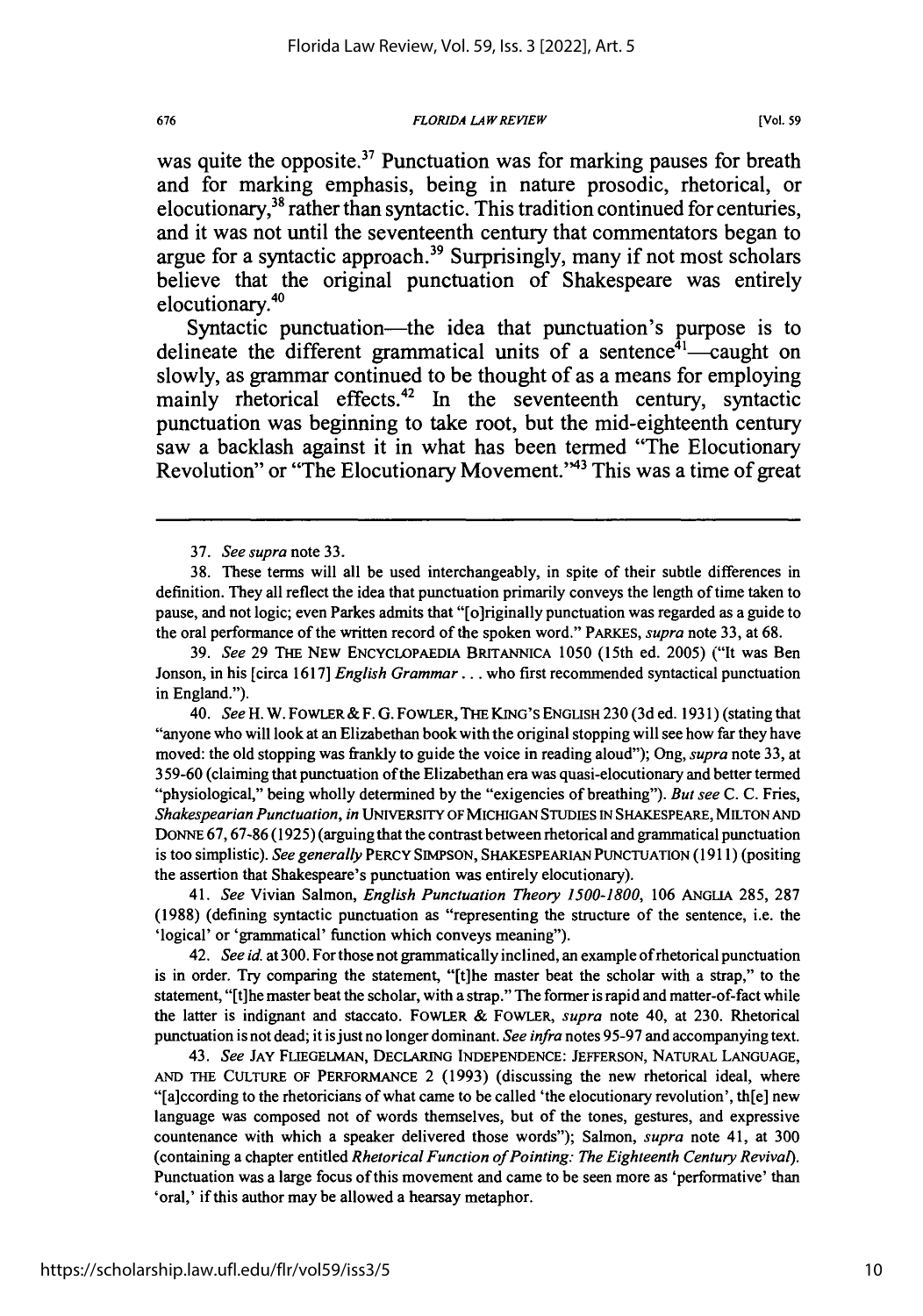was quite the opposite.<sup>37</sup> Punctuation was for marking pauses for breath and for marking emphasis, being in nature prosodic, rhetorical, or elocutionary,  $38$  rather than syntactic. This tradition continued for centuries, and it was not until the seventeenth century that commentators began to argue for a syntactic approach.<sup>39</sup> Surprisingly, many if not most scholars believe that the original punctuation of Shakespeare was entirely elocutionary.<sup>40</sup>

Syntactic punctuation—the idea that punctuation's purpose is to delineate the different grammatical units of a sentence<sup> $\bar{a}_1$ </sup>-caught on slowly, as grammar continued to be thought of as a means for employing mainly rhetorical effects.<sup>42</sup> In the seventeenth century, syntactic punctuation was beginning to take root, but the mid-eighteenth century saw a backlash against it in what has been termed "The Elocutionary Revolution" or "The Elocutionary Movement."<sup>43</sup> This was a time of great

41. *See* Vivian Salmon, English *Punctuation Theory 1500-1800,* **106 ANGLIA 285, 287 (1988)** (defining syntactic punctuation as "representing the structure of the sentence, i.e. the 'logical' or 'grammatical' function which conveys meaning").

42. *See* **id.** at **300.** For those not grammatically inclined, an example ofrhetorical punctuation is in order. Try comparing the statement, "[t]he master beat the scholar with a strap," to the statement, "[t]he master beat the scholar, with a strap." The former is rapid and matter-of-fact while the latter is indignant and staccato. FOWLER & FOWLER, *supra* note 40, at **230.** Rhetorical punctuation is not dead; it is just no longer dominant. *See infra* notes **95-97** and accompanying text.

43. *See* JAY **FLIEGELMAN, DECLARING INDEPENDENCE: JEFFERSON, NATURAL LANGUAGE, AND** THE CULTURE OF PERFORMANCE 2 **(1993)** (discussing the new rhetorical ideal, where "[a]ccording to the rhetoricians of what came to be called 'the elocutionary revolution', th[e] new language was composed not of words themselves, but of the tones, gestures, and expressive countenance with which a speaker delivered those words"); Salmon, *supra* note 41, at **300** (containing a chapter entitled *Rhetorical Function of Pointing: The Eighteenth Century Revival).* Punctuation was a large focus of this movement and came to be seen more as 'performative' than 'oral,' if this author may be allowed a hearsay metaphor.

<sup>37.</sup> *See supra* note 33.

<sup>38.</sup> These terms will all be used interchangeably, in spite of their subtle differences in definition. They all reflect the idea that punctuation primarily conveys the length of time taken to pause, and not logic; even Parkes admits that "[o]riginally punctuation was regarded as a guide to the oral performance of the written record of the spoken word." PARKES, *supra* note **33,** at **68.**

**<sup>39.</sup>** *See* **29** THE NEW ENCYCLOPAEDIA BRITANNICA **1050** (15th ed. **2005)** ("It was Ben Jonson, in his [circa **1617]** *English Grammar...* who first recommended syntactical punctuation in England.").

<sup>40.</sup> *See* H. W. FOWLER & F. **G.** FOWLER, THE KING'S ENGLISH **230 (3d** ed. 1931) (stating that "anyone who will look at an Elizabethan book with the original stopping will see how far they have moved: the old stopping was frankly to guide the voice in reading aloud"); Ong, *supra* note **33,** at **359-60** (claiming that punctuation of the Elizabethan era was quasi-elocutionary and better termed "physiological," being wholly determined **by** the "exigencies of breathing"). *But see* **C. C.** Fries, *Shakespearian Punctuation, in* UNIVERSITY OF MICHIGAN **STUDIES** IN SHAKESPEARE, **MILTON AND** DONNE **67, 67-86 (1925)** (arguing that the contrast between rhetorical and grammatical punctuation is too simplistic). *See generally* PERCY **SIMPSON,** SHAKESPEARIAN PUNCTUATION **(1911)** (positing the assertion that Shakespeare's punctuation was entirely elocutionary).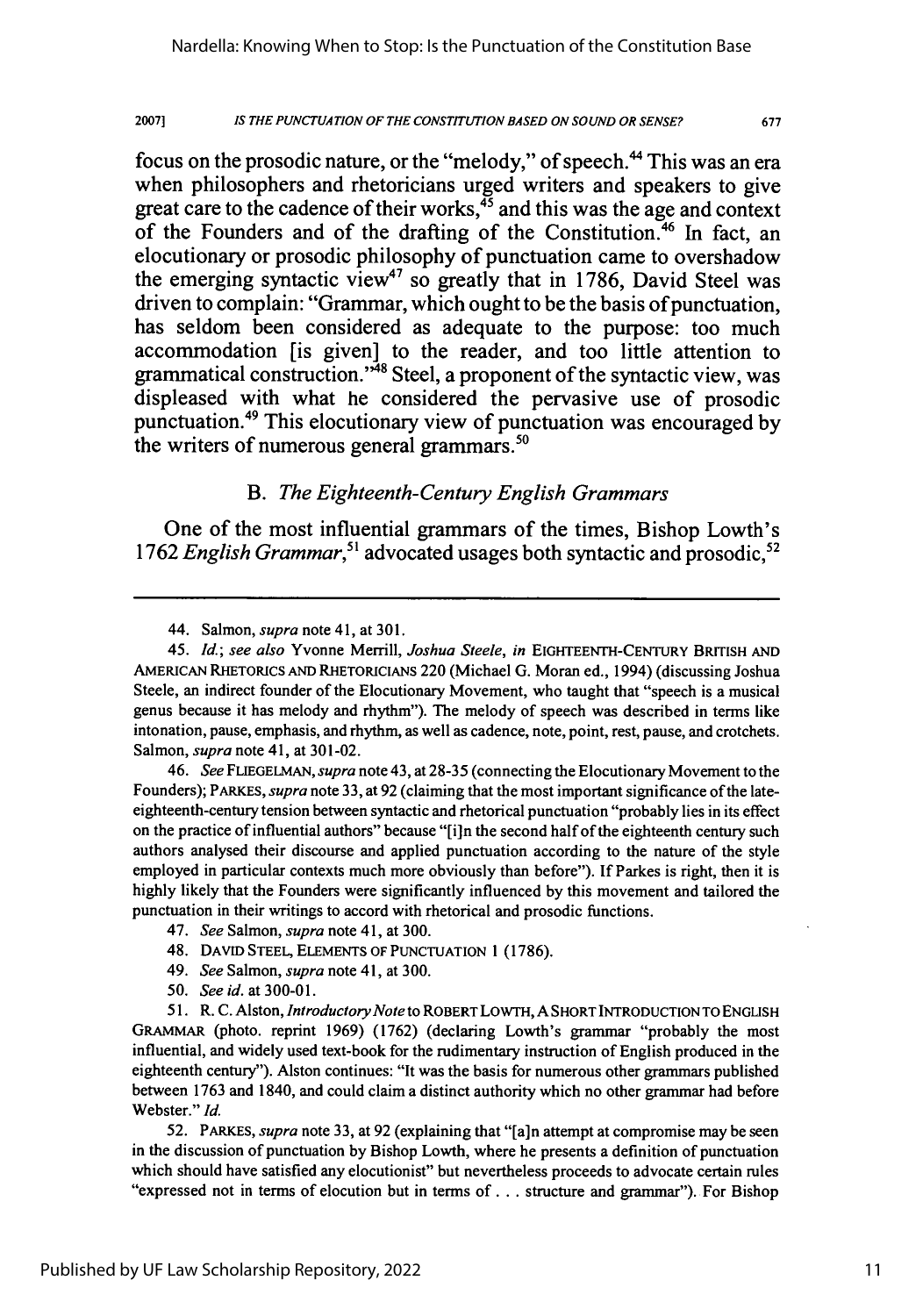2007] *IS THE PUNCTUATION OF THE CONSTITUTION BASED ON SOUND OR SENSE?* **677**

focus on the prosodic nature, or the "melody," of speech.<sup>44</sup> This was an era when philosophers and rhetoricians urged writers and speakers to give great care to the cadence of their works, $45$  and this was the age and context of the Founders and of the drafting of the Constitution.<sup>46</sup> In fact, an elocutionary or prosodic philosophy of punctuation came to overshadow the emerging syntactic view" so greatly that in **1786,** David Steel was driven to complain: "Grammar, which ought to be the basis of punctuation, has seldom been considered as adequate to the purpose: too much accommodation [is given] to the reader, and too little attention to grammatical construction.<sup>348</sup> Steel, a proponent of the syntactic view, was displeased with what he considered the pervasive use of prosodic punctuation.49 This elocutionary view of punctuation was encouraged **by** the writers of numerous general grammars. $50$ 

# *B. The Eighteenth-Century English Grammars*

One of the most influential grammars of the times, Bishop Lowth's 1762 *English Grammar*,<sup>51</sup> advocated usages both syntactic and prosodic,<sup>52</sup>

46. *See* FLIEGELMAN, *supra* note 43, at 28-35 (connecting the Elocutionary Movement to the Founders); PARKES, *supra* note 33, at 92 (claiming that the most important significance of the lateeighteenth-century tension between syntactic and rhetorical punctuation "probably lies in its effect on the practice of influential authors" because "[i]n the second half of the eighteenth century such authors analysed their discourse and applied punctuation according to the nature of the style employed in particular contexts much more obviously than before"). If Parkes is right, then it is highly likely that the Founders were significantly influenced by this movement and tailored the punctuation in their writings to accord with rhetorical and prosodic functions.

- 49. *See* Salmon, *supra* note 41, at 300.
- 50. *See id.* at 300-01.

51. R. C. Alston, *Introductory Note* to ROBERT LOwTH, A SHORT INTRODUCTION TO ENGLISH GRAMMAR (photo. reprint 1969) (1762) (declaring Lowth's grammar "probably the most influential, and widely used text-book for the rudimentary instruction of English produced in the eighteenth century"). Alston continues: "It was the basis for numerous other grammars published between 1763 and 1840, and could claim a distinct authority which no other grammar had before Webster." *Id.*

52. PARKES, *supra* note 33, at 92 (explaining that "[a]n attempt at compromise may be seen in the discussion of punctuation by Bishop Lowth, where he presents a definition of punctuation which should have satisfied any elocutionist" but nevertheless proceeds to advocate certain rules "expressed not in terms of elocution but in terms of... structure and grammar"). For Bishop

<sup>44.</sup> Salmon, *supra* note 41, at 301.

<sup>45.</sup> **Id.;** *see also* Yvonne Merrill, *Joshua Steele, in* EIGHTEENTH-CENTURY BRITISH AND AMERICAN RHETORICS **AND** RHETORICIANS 220 (Michael G. Moran ed., 1994) (discussing Joshua Steele, an indirect founder of the Elocutionary Movement, who taught that "speech is a musical genus because it has melody and rhythm"). The melody of speech was described in terms like intonation, pause, emphasis, and rhythm, as well as cadence, note, point, rest, pause, and crotchets. Salmon, *supra* note 41, at 301-02.

<sup>47.</sup> *See* Salmon, *supra* note 41, at 300.

<sup>48.</sup> DAVID STEEL, ELEMENTS OF PUNCTUATION 1 (1786).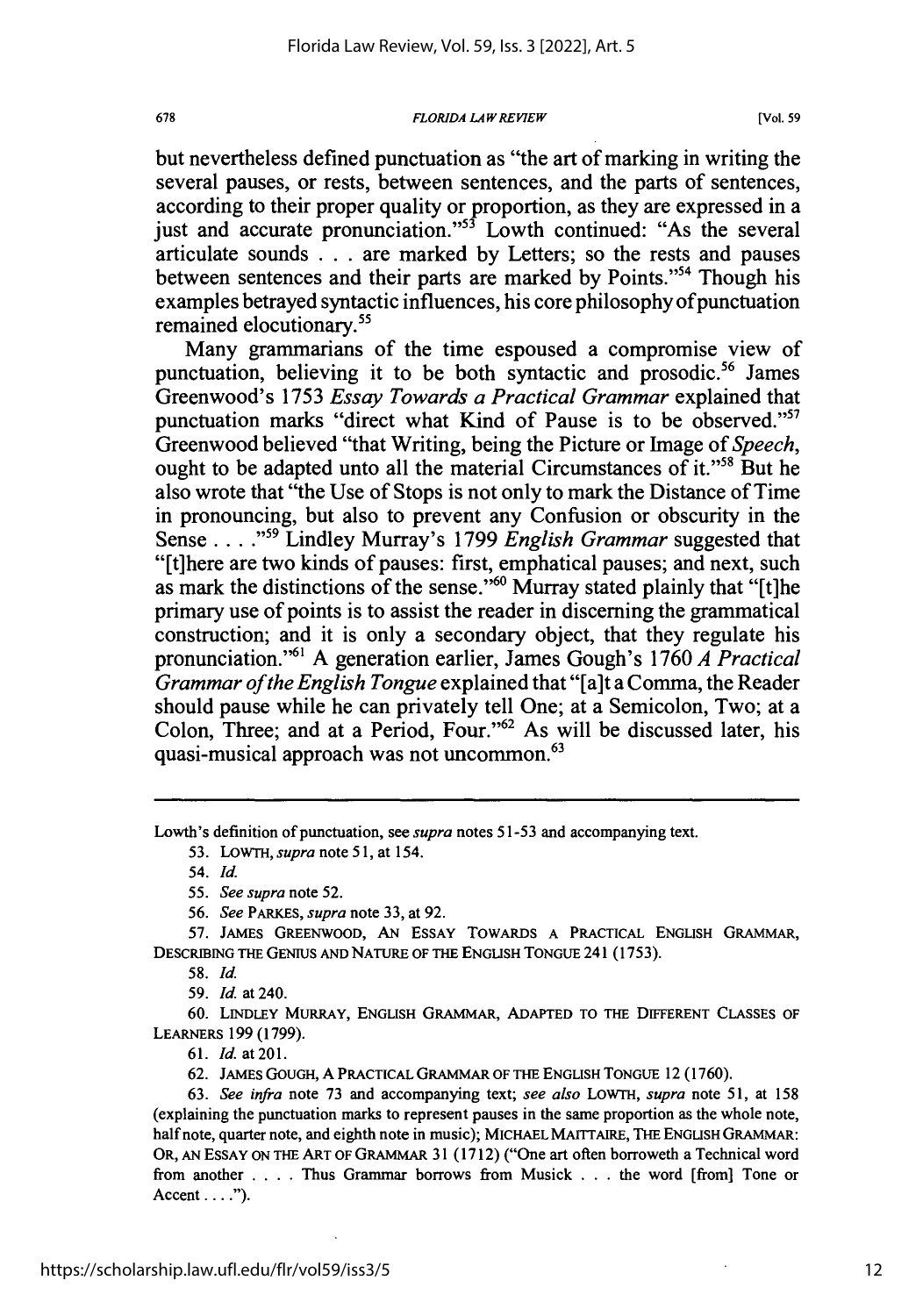but nevertheless defined punctuation as "the art of marking in writing the several pauses, or rests, between sentences, and the parts of sentences, according to their proper quality or proportion, as they are expressed in a just and accurate pronunciation."<sup>55</sup> Lowth continued: "As the several articulate sounds . . . are marked by Letters; so the rests and pauses between sentences and their parts are marked by Points."54 Though his examples betrayed syntactic influences, his core philosophy of punctuation remained elocutionary.<sup>55</sup>

Many grammarians of the time espoused a compromise view of punctuation, believing it to be both syntactic and prosodic.<sup>56</sup> James Greenwood's 1753 *Essay Towards a Practical Grammar* explained that punctuation marks "direct what Kind of Pause is to be observed."<sup>57</sup> Greenwood believed "that Writing, being the Picture or Image of *Speech,* ought to be adapted unto all the material Circumstances of it."<sup>58</sup> But he also wrote that "the Use of Stops is not only to mark the Distance of Time in pronouncing, but also to prevent any Confusion or obscurity in the Sense ... **,59** Lindley Murray's 1799 *English Grammar* suggested that "[t]here are two kinds of pauses: first, emphatical pauses; and next, such as mark the distinctions of the sense."60 Murray stated plainly that "[t]he primary use of points is to assist the reader in discerning the grammatical construction; and it is only a secondary object, that they regulate his pronunciation."<sup>61</sup> A generation earlier, James Gough's 1760 *A Practical Grammar of the English Tongue* explained that "[a]t a Comma, the Reader should pause while he can privately tell One; at a Semicolon, Two; at a Colon, Three; and at a Period, Four."<sup>62</sup> As will be discussed later, his quasi-musical approach was not uncommon.<sup>63</sup>

Lowth's definition of punctuation, see *supra* notes 51-53 and accompanying text.

53. *LOWTH, supra note* **51,** at 154.

55. *See supra* note 52.

*56. See* PARKES, *supra* note 33, at 92.

57. JAMES GREENWOOD, AN ESSAY TOWARDS A PRACTICAL ENGLISH GRAMMAR, DESCRIBING THE GENIUS AND NATURE OF THE ENGLISH TONGUE 241 (1753).

58. *Id.*

59. *Id.* at 240.

**60.** LINDLEY MURRAY, ENGLISH GRAMMAR, ADAPTED TO THE DIFFERENT CLASSES OF LEARNERS 199 (1799).

61. *Id.* at **201.**

62. JAMES GOUGH, A PRACTICAL GRAMMAR OF THE ENGLISH TONGUE 12 (1760).

63. *See infra* note 73 and accompanying text; *see also* LOWTH, *supra* note 51, at 158 (explaining the punctuation marks to represent pauses in the same proportion as the whole note, half note, quarter note, and eighth note in music); MICHAEL MAITTAIRE, THE ENGLISH GRAMMAR: OR, AN ESSAY ON THE ART OF GRAMMAR 31 (1712) ("One art often borroweth a Technical word from another .... Thus Grammar borrows from Musick . . . the word [from] Tone or Accent **.... ).**

678

<sup>54.</sup> *Id.*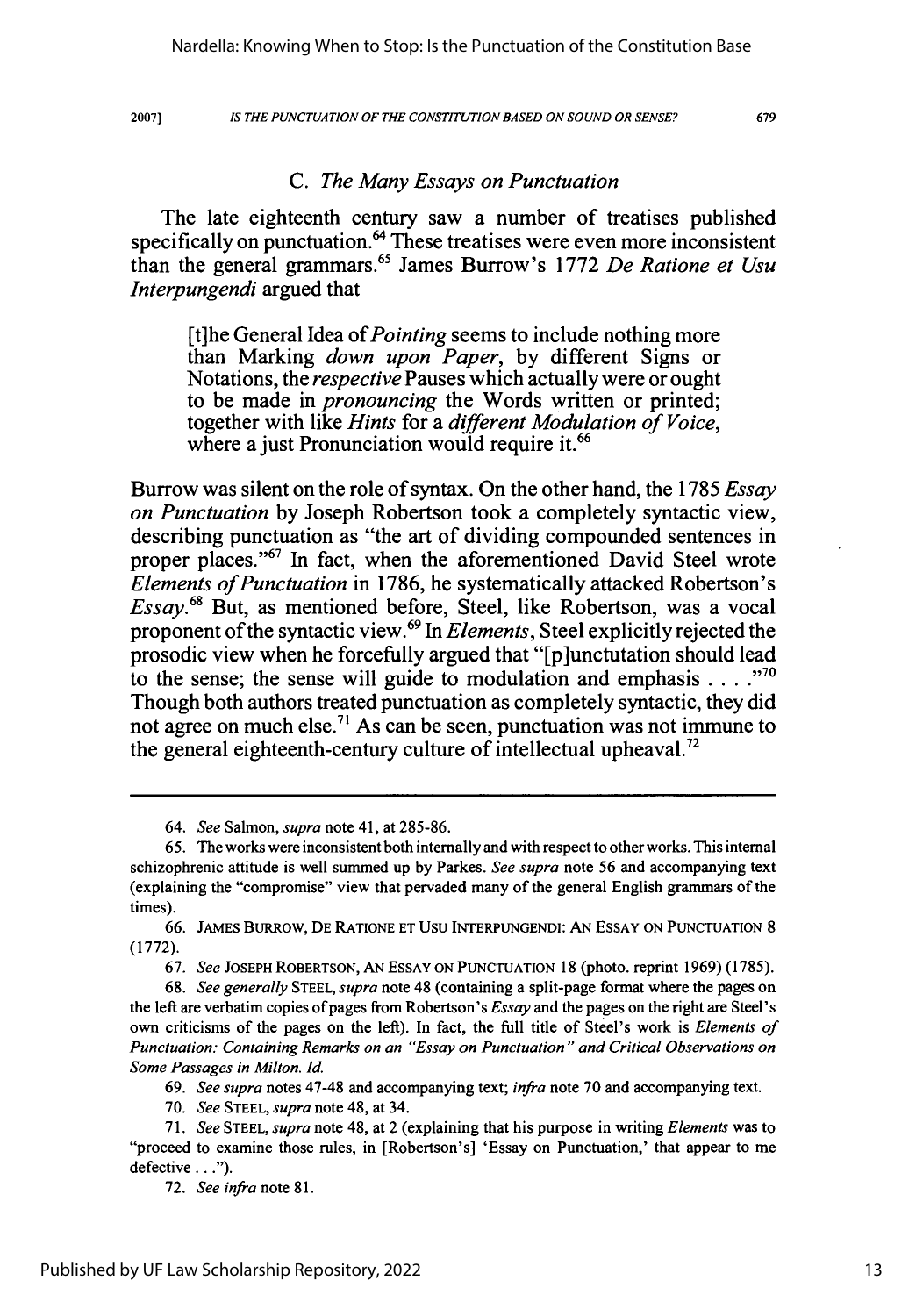2007]

#### *IS THE PUNCTUATION OF THE CONSTITUTION BASED ON SOUND OR SENSE?*

679

#### *C. The Many Essays on Punctuation*

The late eighteenth century saw a number of treatises published specifically on punctuation.<sup>64</sup> These treatises were even more inconsistent than the general grammars.65 James Burrow's 1772 *De Ratione et Usu Interpungendi* argued that

[t]he General Idea of *Pointing* seems to include nothing more than Marking *down upon Paper,* by different Signs or Notations, the *respective* Pauses which actually were or ought to be made in *pronouncing* the Words written or printed; together with like *Hints* for a *different Modulation of Voice,* where a just Pronunciation would require it.<sup>66</sup>

Burrow was silent on the role of syntax. On the other hand, the 1785 *Essay on Punctuation* by Joseph Robertson took a completely syntactic view, describing punctuation as "the art of dividing compounded sentences in proper places."67 In fact, when the aforementioned David Steel wrote *Elements of Punctuation* in 1786, he systematically attacked Robertson's *Essay.68* But, as mentioned before, Steel, like Robertson, was a vocal proponent of the syntactic view.69 In *Elements,* Steel explicitly rejected the prosodic view when he forcefully argued that "[p]unctutation should lead to the sense; the sense will guide to modulation and emphasis **....** Though both authors treated punctuation as completely syntactic, they did not agree on much else.<sup>71</sup> As can be seen, punctuation was not immune to the general eighteenth-century culture of intellectual upheaval.<sup>72</sup>

67. *See* **JOSEPH** ROBERTSON, **AN** ESSAY **ON PUNCTUATION** 18 (photo. reprint 1969) (1785).

68. *See generally* **STEEL,** *supra* note 48 (containing a split-page format where the pages on the left are verbatim copies of pages from Robertson's *Essay* and the pages on the right are Steel's own criticisms of the pages on the left). In fact, the full title of Steel's work is *Elements of Punctuation: Containing Remarks on an "Essay on Punctuation " and Critical Observations on Some Passages in Milton. Id.*

69. *See supra* notes 47-48 and accompanying text; *infra* note 70 and accompanying text.

70. *See* **STEEL,** *supra* note 48, at 34.

72. *See infra* note 81.

*<sup>64.</sup> See* Salmon, *supra* note 41, at 285-86.

<sup>65.</sup> The works were inconsistent both internally and with respect to other works. This internal schizophrenic attitude is well summed up by Parkes. *See supra* note 56 and accompanying text (explaining the "compromise" view that pervaded many of the general English grammars of the times).

<sup>66.</sup> JAMES BuRRow, DE RATIONE **ET** USU **INTERPUNGENDI: AN** ESSAY **ON** PUNCTUATION 8 (1772).

<sup>71.</sup> *See* **STEEL,** *supra* note 48, at 2 (explaining that his purpose in writing *Elements* was to "proceed to examine those rules, in [Robertson's] 'Essay on Punctuation,' that appear to me defective...").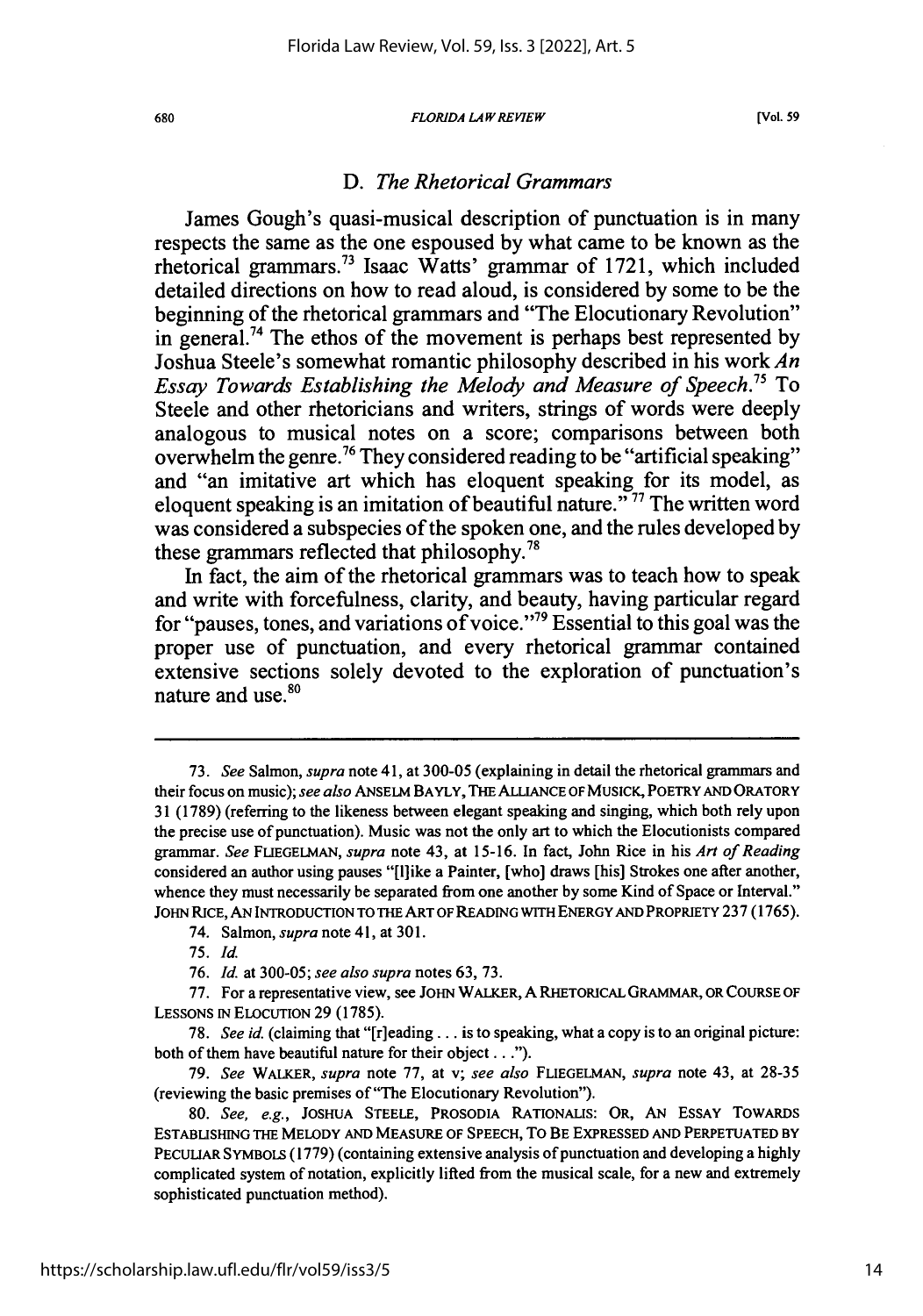## *D. The Rhetorical Grammars*

James Gough's quasi-musical description of punctuation is in many respects the same as the one espoused by what came to be known as the rhetorical grammars.<sup>73</sup> Isaac Watts' grammar of 1721, which included detailed directions on how to read aloud, is considered by some to be the beginning of the rhetorical grammars and "The Elocutionary Revolution" in general.<sup>74</sup> The ethos of the movement is perhaps best represented by Joshua Steele's somewhat romantic philosophy described in his work *An Essay Towards Establishing the Melody and Measure of Speech.75* To Steele and other rhetoricians and writers, strings of words were deeply analogous to musical notes on a score; comparisons between both overwhelm the genre.<sup>76</sup> They considered reading to be "artificial speaking" and "an imitative art which has eloquent speaking for its model, as eloquent speaking is an imitation of beautiful nature.<sup> $\frac{577}{7}$ </sup> The written word was considered a subspecies of the spoken one, and the rules developed by these grammars reflected that philosophy.<sup>78</sup>

In fact, the aim of the rhetorical grammars was to teach how to speak and write with forcefulness, clarity, and beauty, having particular regard for "pauses, tones, and variations of voice."<sup>79</sup> Essential to this goal was the proper use of punctuation, and every rhetorical grammar contained extensive sections solely devoted to the exploration of punctuation's nature and use.<sup>80</sup>

74. Salmon, *supra* note 41, at 301.

<sup>73.</sup> *See* Salmon, *supra* note 41, at 300-05 (explaining in detail the rhetorical grammars and their focus on music); *see also* ANSELM BAYLY, THE ALLIANCE OF **MUSICK,** POETRY AND ORATORY **31** (1789) (referring to the likeness between elegant speaking and singing, which both rely upon the precise use of punctuation). Music was not the only art to which the Elocutionists compared grammar. *See* FLIEGELMAN, *supra* note 43, at 15-16. In fact, John Rice in his *Art of Reading* considered an author using pauses "[Ihike a Painter, [who] draws [his] Strokes one after another, whence they must necessarily be separated from one another **by** some Kind of Space or Interval." JOHN RICE, AN INTRODUCTION TO THE ART OF READING WITH ENERGY AND PROPRIETY **237 (1765).**

*<sup>75.</sup> Id.*

<sup>76.</sup> *Id.* at **300-05;** *see also supra* notes **63, 73.**

**<sup>77.</sup>** For a representative view, see JOHN WALKER, **A** RHETORICAL GRAMMAR, OR COURSE OF LESSONS IN ELOCUTION 29 (1785).

<sup>78.</sup> *See id.* (claiming that "[r]eading... is to speaking, what a copy is to an original picture: both of them have beautiful nature for their object...").

<sup>79.</sup> *See* WALKER, *supra* note 77, at v; *see also* FLIEGELMAN, *supra* note 43, at 28-35 (reviewing the basic premises of "The Elocutionary Revolution").

<sup>80.</sup> *See, e.g.,* JOSHUA STEELE, PROSODIA RATIONALIS: OR, AN ESSAY TowARDs ESTABLISHING THE MELODY AND MEASURE OF SPEECH, TO BE EXPRESSED AND PERPETUATED BY PECULIAR SYMBOLS (1779) (containing extensive analysis of punctuation and developing a highly complicated system of notation, explicitly lifted from the musical scale, for a new and extremely sophisticated punctuation method).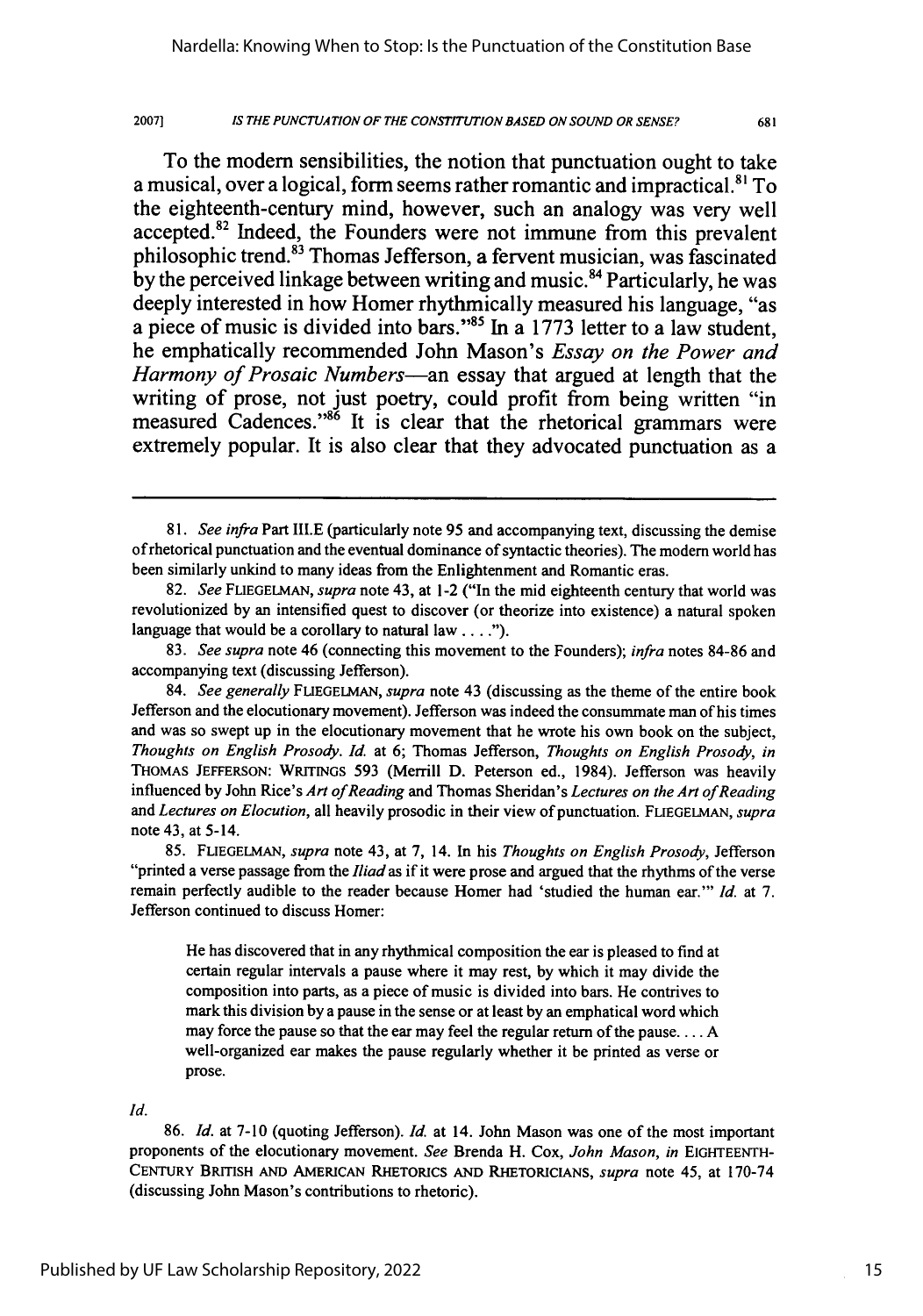**IS** *THE* **PUNCTUATION OF THE CONSTITUTION BASED ON SOUND** OR **SENSE?**

To the modem sensibilities, the notion that punctuation ought to take a musical, over a logical, form seems rather romantic and impractical.<sup>81</sup> To the eighteenth-century mind, however, such an analogy was very well accepted.<sup>82</sup> Indeed, the Founders were not immune from this prevalent philosophic trend. $^{83}$  Thomas Jefferson, a fervent musician, was fascinated **by** the perceived linkage between writing and music. 84 Particularly, he was deeply interested in how Homer rhythmically measured his language, "as a piece of music is divided into bars."<sup>85</sup> In a 1773 letter to a law student, he emphatically recommended John Mason's *Essay on the Power and Harmony of Prosaic Numbers-an* essay that argued at length that the writing of prose, not just poetry, could profit from being written "in measured Cadences."<sup>86</sup> It is clear that the rhetorical grammars were extremely popular. It is also clear that they advocated punctuation as a

He has discovered that in any rhythmical composition the ear is pleased to find at certain regular intervals a pause where it may rest, by which it may divide the composition into parts, as a piece of music is divided into bars. He contrives to mark this division by a pause in the sense or at least by an emphatical word which may force the pause so that the ear may feel the regular return of the pause.... A well-organized ear makes the pause regularly whether it be printed as verse or prose.

Id.

86. *Id.* at 7-10 (quoting Jefferson). *Id.* at 14. John Mason was one of the most important proponents of the elocutionary movement. *See* Brenda H. Cox, *John Mason, in* **EIGHTEENTH-CENTURY** BRITISH **AND** AMERICAN RHETORICS **AND** RHETORICIANS, *supra* note 45, at 170-74 (discussing John Mason's contributions to rhetoric).

<sup>81.</sup> *See infra* Part III.E (particularly note 95 and accompanying text, discussing the demise of rhetorical punctuation and the eventual dominance of syntactic theories). The modem world has been similarly unkind to many ideas from the Enlightenment and Romantic eras.

<sup>82.</sup> *See* FLIEGELMAN, *supra* note 43, at 1-2 ("In the mid eighteenth century that world was revolutionized by an intensified quest to discover (or theorize into existence) a natural spoken language that would be a corollary to natural law **.... ").**

<sup>83.</sup> *See supra* note 46 (connecting this movement to the Founders); *infra* notes 84-86 and accompanying text (discussing Jefferson).

<sup>84.</sup> *See generally* **FLUEGELMAN,** *supra* note 43 (discussing as the theme of the entire book Jefferson and the elocutionary movement). Jefferson was indeed the consummate man of his times and was so swept up in the elocutionary movement that he wrote his own book on the subject, *Thoughts on English Prosody. Id.* at 6; Thomas Jefferson, *Thoughts on English Prosody, in* **THOMAS JEFFERSON:** WRITINGS 593 (Merrill D. Peterson ed., 1984). Jefferson was heavily influenced by John Rice's *Art of Reading* and Thomas Sheridan's *Lectures on the Art of Reading and Lectures on Elocution,* all heavily prosodic in their view of punctuation. **FLIEGELMAN,** *supra* note 43, at 5-14.

<sup>85.</sup> **FLIEGELMAN,** *supra* note 43, at 7, 14. In his *Thoughts on English Prosody,* Jefferson "printed a verse passage from the *Iliadas* if it were prose and argued that the rhythms of the verse remain perfectly audible to the reader because Homer had 'studied the human ear."' *Id.* at 7. Jefferson continued to discuss Homer: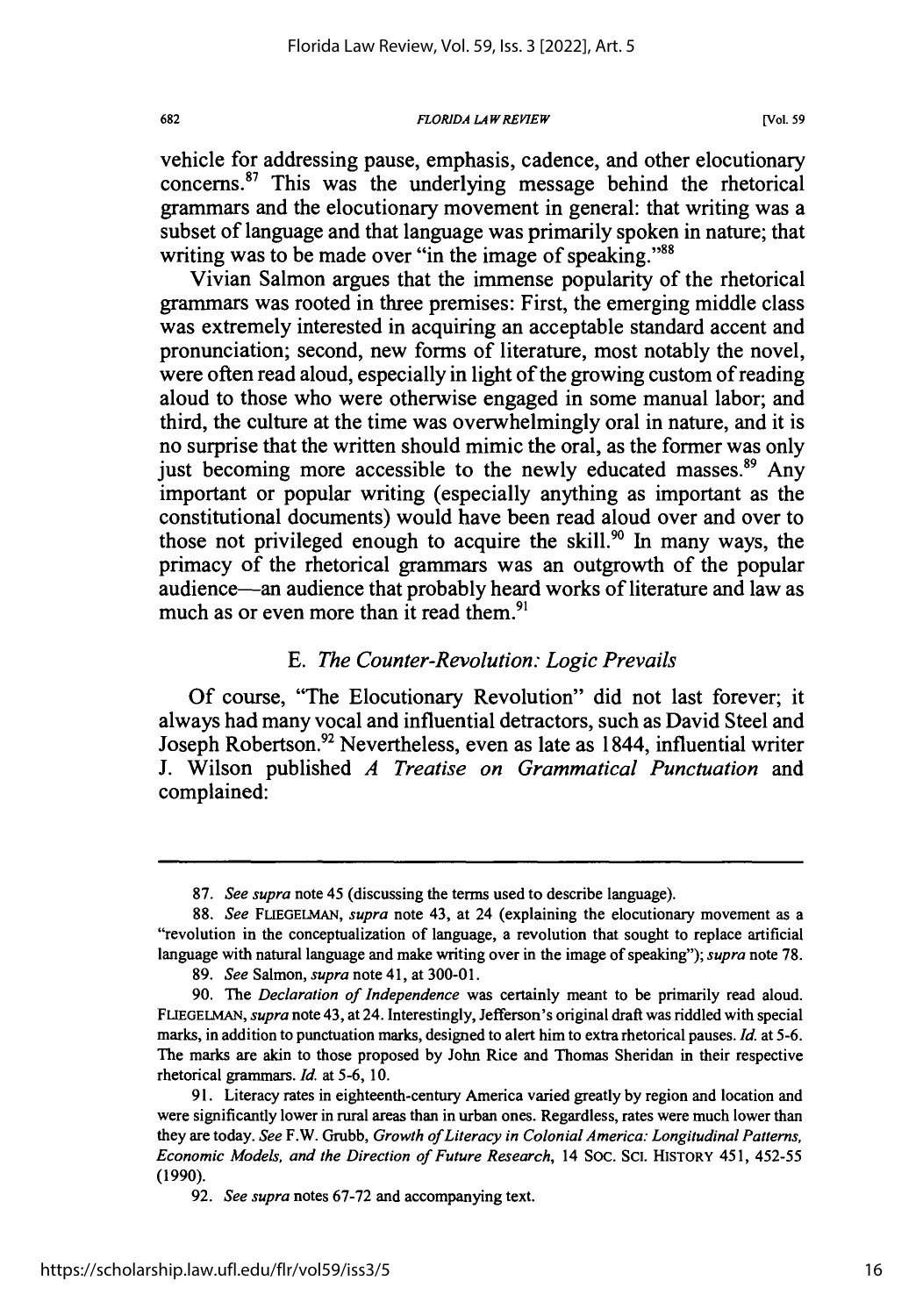vehicle for addressing pause, emphasis, cadence, and other elocutionary  $concerns<sup>87</sup>$  This was the underlying message behind the rhetorical grammars and the elocutionary movement in general: that writing was a subset of language and that language was primarily spoken in nature; that writing was to be made over "in the image of speaking."<sup>88</sup>

Vivian Salmon argues that the immense popularity of the rhetorical grammars was rooted in three premises: First, the emerging middle class was extremely interested in acquiring an acceptable standard accent and pronunciation; second, new forms of literature, most notably the novel, were often read aloud, especially in light of the growing custom of reading aloud to those who were otherwise engaged in some manual labor; and third, the culture at the time was overwhelmingly oral in nature, and it is no surprise that the written should mimic the oral, as the former was only just becoming more accessible to the newly educated masses.<sup>89</sup> Any important or popular writing (especially anything as important as the constitutional documents) would have been read aloud over and over to those not privileged enough to acquire the skill.<sup>90</sup> In many ways, the primacy of the rhetorical grammars was an outgrowth of the popular audience-an audience that probably heard works of literature and law as much as or even more than it read them. $91$ 

# *E. The Counter-Revolution: Logic Prevails*

Of course, "The Elocutionary Revolution" did not last forever; it always had many vocal and influential detractors, such as David Steel and Joseph Robertson.<sup>92</sup> Nevertheless, even as late as 1844, influential writer J. Wilson published *A Treatise on Grammatical Punctuation* and complained:

682

<sup>87.</sup> *See supra* note 45 (discussing the terms used to describe language).

<sup>88.</sup> *See* FLIEGELMAN, *supra* note 43, at 24 (explaining the elocutionary movement as a "revolution in the conceptualization of language, a revolution that sought to replace artificial language with natural language and make writing over in the image of speaking"); *supra* note 78.

<sup>89.</sup> *See* Salmon, *supra* note 41, at 300-01.

<sup>90.</sup> The *Declaration of Independence* was certainly meant to be primarily read aloud. FLIEGELMAN, *supra* note 43, at 24. Interestingly, Jefferson's original draft was riddled with special marks, in addition to punctuation marks, designed to alert him to extra rhetorical pauses. Id. at 5-6. The marks are akin to those proposed **by** John Rice and Thomas Sheridan in their respective rhetorical grammars. Id. at 5-6, 10.

<sup>91.</sup> Literacy rates in eighteenth-century America varied greatly by region and location and were significantly lower in rural areas than in urban ones. Regardless, rates were much lower than they are today. *See* F.W. Grubb, *Growth ofLiteracy in Colonial America: Longitudinal Patterns, Economic Models, and the Direction of Future Research,* 14 SOc. ScI. HISTORY 451, 452-55 (1990).

<sup>92.</sup> *See supra* notes 67-72 and accompanying text.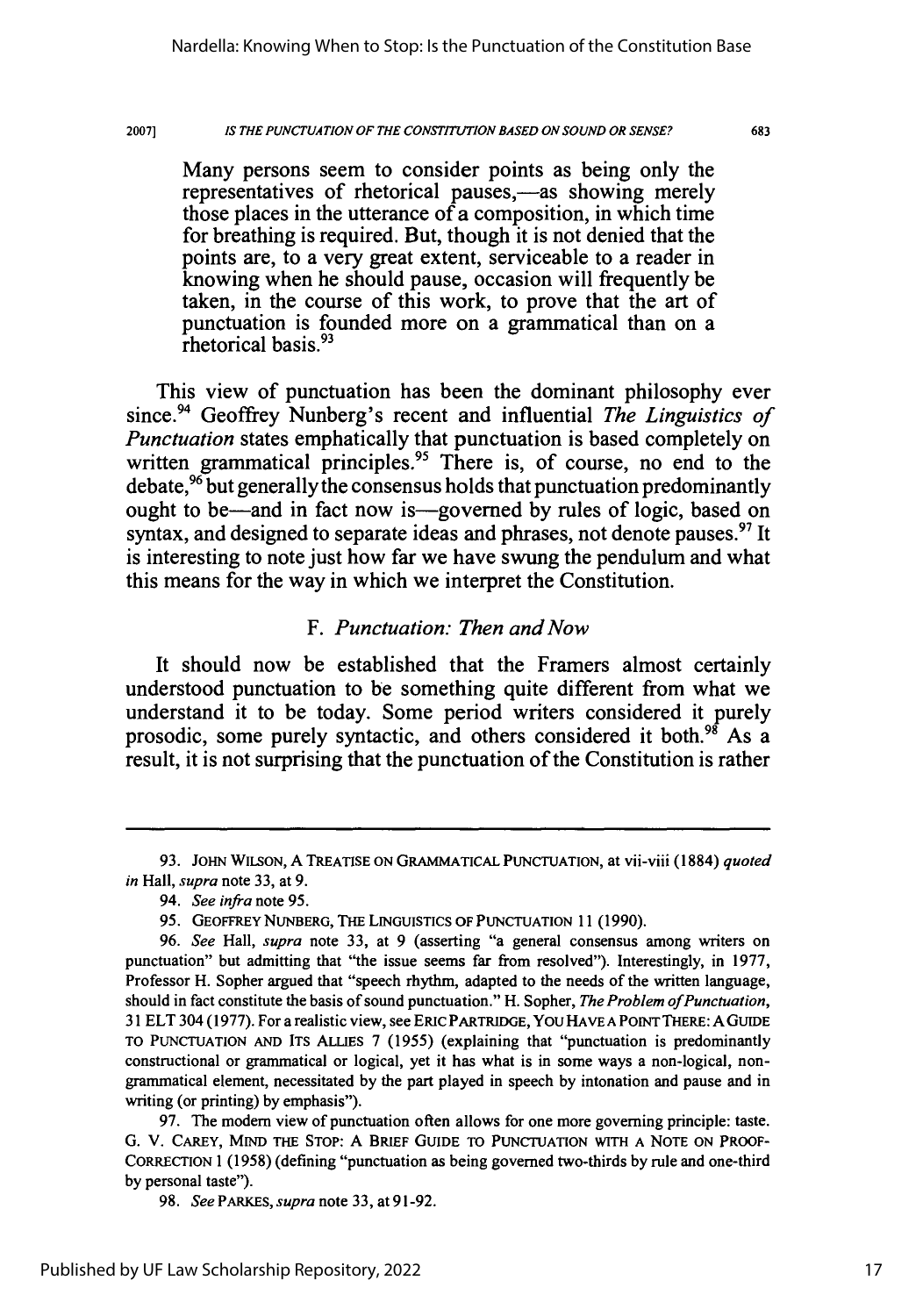#### 2007] *IS THE PUNCTUATION OF THE CONSTITUTION BASED ON SOUND OR SENSE?*

683

Many persons seem to consider points as being only the representatives of rhetorical pauses,—as showing merely those places in the utterance of a composition, in which time for breathing is required. But, though it is not denied that the points are, to a very great extent, serviceable to a reader in knowing when he should pause, occasion will frequently be taken, in the course of this work, to prove that the art of punctuation is founded more on a grammatical than on a rhetorical basis.<sup>93</sup>

This view of punctuation has been the dominant philosophy ever since.94 Geoffrey Nunberg's recent and influential *The Linguistics of Punctuation* states emphatically that punctuation is based completely on written grammatical principles.<sup>95</sup> There is, of course, no end to the debate,  $96$  but generally the consensus holds that punctuation predominantly ought to be—and in fact now is—governed by rules of logic, based on syntax, and designed to separate ideas and phrases, not denote pauses.<sup>97</sup> It is interesting to note just how far we have swung the pendulum and what this means for the way in which we interpret the Constitution.

# *F. Punctuation: Then and Now*

It should now be established that the Framers almost certainly understood punctuation to be something quite different from what we understand it to be today. Some period writers considered it purely prosodic, some purely syntactic, and others considered it both.<sup>98</sup> As a result, it is not surprising that the punctuation of the Constitution is rather

<sup>93.</sup> JOHN WILSON, A TREATISE ON GRAMMATICAL PUNCTUATION, at vii-viii (1884) *quoted in* Hall, *supra* note 33, at 9.

<sup>94.</sup> *See infra* note 95.

<sup>95.</sup> GEOFFREY NUNBERG, THE **LINGUISTICS OF PUNCTUATION** 11(1990).

<sup>96.</sup> *See* Hall, *supra* note **33,** at 9 (asserting "a general consensus among writers on punctuation" but admitting that "the issue seems far from resolved"). Interestingly, in **1977,** Professor H. Sopher argued that "speech rhythm, adapted to the needs of the written language, should in fact constitute the basis of sound punctuation." H. Sopher, *The Problem of Punctuation,* **31** ELT 304 (1977). For a realistic view, see ERIC PARTRIDGE, You HAVE **A** POINT THERE: A GUIDE TO **PUNCTUATION AND** ITS ALLIES **7** (1955) (explaining that "punctuation is predominantly constructional or grammatical or logical, yet it has what is in some ways a non-logical, nongrammatical element, necessitated **by** the part played in speech **by** intonation and pause and in writing (or printing) **by** emphasis").

<sup>97.</sup> The modem view of punctuation often allows for one more governing principle: taste. **G.** V. CAREY, MIND THE STOP: A BRIEF GUIDE TO **PUNCTUATION** WITH **A** NOTE ON PROOF-CORRECTION 1 (1958) (defining "punctuation as being governed two-thirds **by** rule and one-third **by** personal taste").

<sup>98.</sup> *See PARKES, supra* note 33, at 91-92.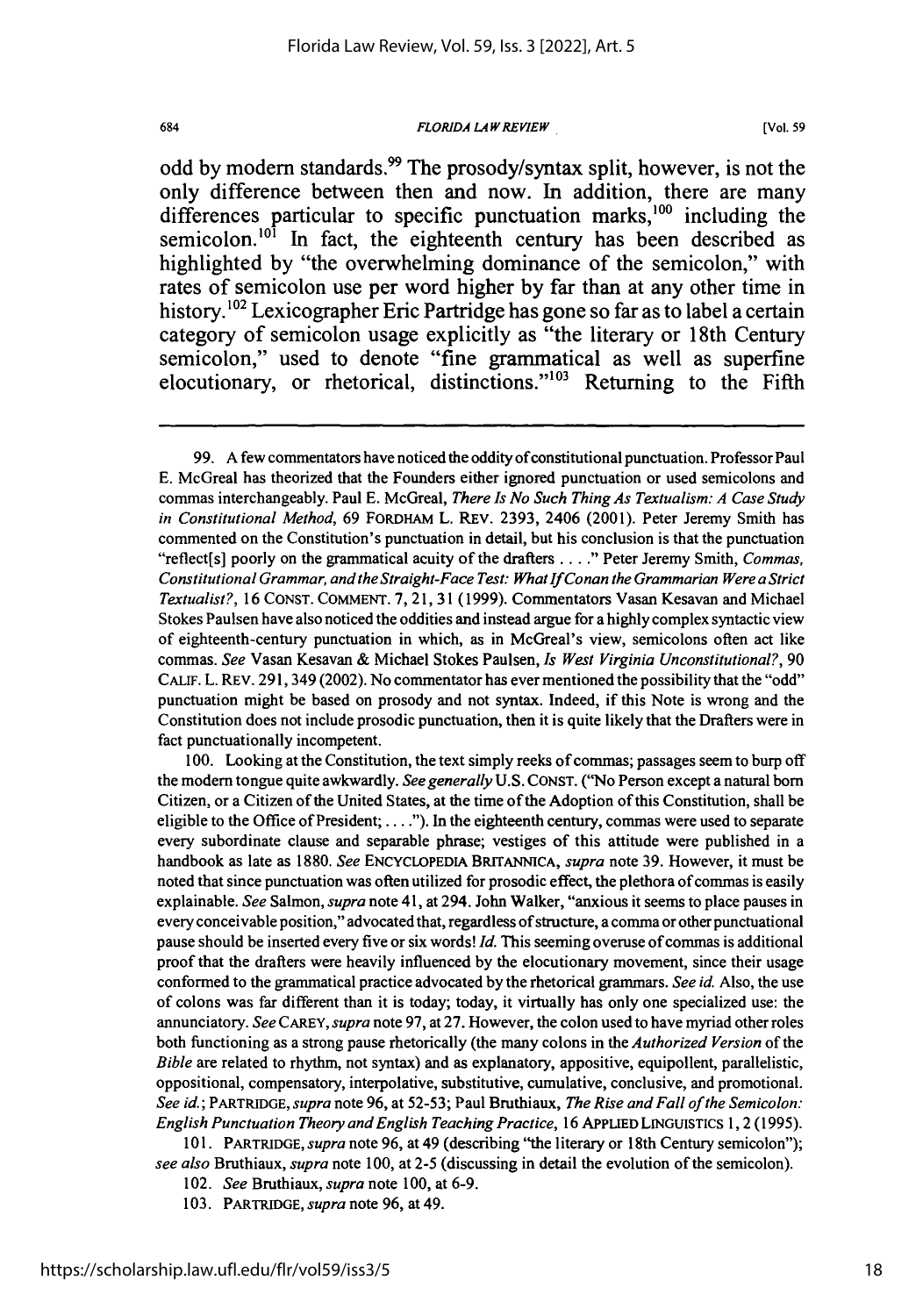*FLORIDA LAW REVIEW*

**[Vol. 59**

odd by modern standards.<sup>99</sup> The prosody/syntax split, however, is not the only difference between then and now. In addition, there are many differences particular to specific punctuation marks,<sup>100</sup> including the semicolon.<sup>101</sup> In fact, the eighteenth century has been described as highlighted **by** "the overwhelming dominance of the semicolon," with rates of semicolon use per word higher **by** far than at any other time in history.<sup>102</sup> Lexicographer Eric Partridge has gone so far as to label a certain category of semicolon usage explicitly as "the literary or 18th Century semicolon," used to denote "fine grammatical as well as superfine elocutionary, or rhetorical, distinctions."<sup>103</sup> Returning to the Fifth

100. Looking at the Constitution, the text simply reeks of commas; passages seem to burp off the modem tongue quite awkwardly. *See generally* U.S. CONST. ("No Person except a natural born Citizen, or a Citizen of the United States, at the time of the Adoption of this Constitution, shall be eligible to the Office of President; **....").** In the eighteenth century, commas were used to separate every subordinate clause and separable phrase; vestiges of this attitude were published in a handbook as late as 1880. *See* ENCYCLOPEDIA BRITANNICA, *supra* note 39. However, it must be noted that since punctuation was often utilized for prosodic effect, the plethora of commas is easily explainable. *See* Salmon, *supra* note 41, at 294. John Walker, "anxious it seems to place pauses in every conceivable position," advocated that, regardless of structure, a comma or other punctuational pause should be inserted every five or six words! *Id.* This seeming overuse of commas is additional proof that the drafters were heavily influenced by the elocutionary movement, since their usage conformed to the grammatical practice advocated by the rhetorical grammars. *See id.* Also, the use of colons was far different than it is today; today, it virtually has only one specialized use: the annunciatory. *See* CAREY, *supra* note 97, at 27. However, the colon used to have myriad other roles both functioning as a strong pause rhetorically (the many colons in the *Authorized Version* of the *Bible* are related to rhythm, not syntax) and as explanatory, appositive, equipollent, parallelistic, oppositional, compensatory, interpolative, substitutive, cumulative, conclusive, and promotional. *See id.;* PARTRIDGE, *supra* note 96, at 52-53; Paul Bruthiaux, *The Rise and Fall of the Semicolon: English Punctuation Theory and English Teaching Practice,* 16 **APPLIED LINGUISTICS** 1,2 (1995).

101. PARTRIDGE, *supra* note 96, at 49 (describing "the literary or 18th Century semicolon"); *see also* Bruthiaux, *supra* note 100, at 2-5 (discussing in detail the evolution of the semicolon).

- 102. *See* Bruthiaux, *supra* note 100, at 6-9.
- 103. PARTRIDGE, *supra* note 96, at 49.

<sup>99.</sup> A few commentators have noticed the oddity ofconstitutional punctuation. Professor Paul **E.** McGreal has theorized that the Founders either ignored punctuation or used semicolons and commas interchangeably. Paul **E.** McGreal, *There Is No Such Thing As Textualism: A Case Study in Constitutional Method,* 69 FORDHAM L. REV. 2393, 2406 (2001). Peter Jeremy Smith has commented on the Constitution's punctuation in detail, but his conclusion is that the punctuation "reflect[s] poorly on the grammatical acuity of the drafters **...."** Peter Jeremy Smith, *Commas, Constitutional Grammar, and the Straight-Face Test: What If Conan the Grammarian Were a Strict Textualist?,* 16 CONST. COMMENT. 7, 21, 31 (1999). Commentators Vasan Kesavan and Michael Stokes Paulsen have also noticed the oddities and instead argue for a highly complex syntactic view of eighteenth-century punctuation in which, as in McGreal's view, semicolons often act like commas. *See* Vasan Kesavan & Michael Stokes Paulsen, *Is West Virginia Unconstitutional?,* 90 **CALIF.** L. REV. 291,349 (2002). No commentator has ever mentioned the possibility that the "odd" punctuation might be based on prosody and not syntax. Indeed, if this Note is wrong and the Constitution does not include prosodic punctuation, then it is quite likely that the Drafters were in fact punctuationally incompetent.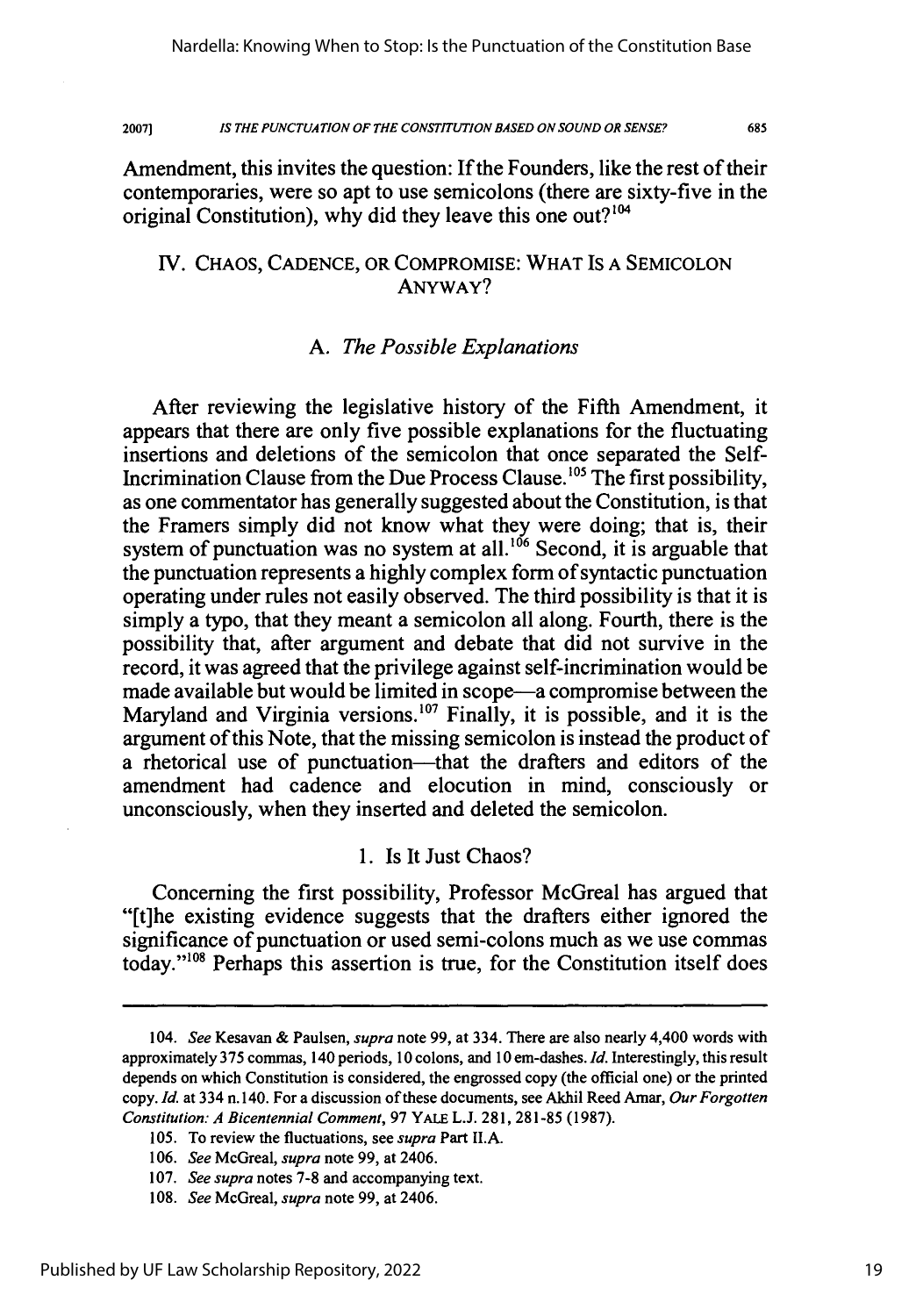*IS THE PUNCTUATION OF THE CONSTITUTION BASED ON SOUND OR SENSE?* **2007)**

685

Amendment, this invites the question: If the Founders, like the rest of their contemporaries, were so apt to use semicolons (there are sixty-five in the original Constitution), why did they leave this one out?<sup>104</sup>

# IV. CHAOS, CADENCE, OR COMPROMISE: WHAT IS A SEMICOLON ANYWAY?

# *A. The Possible Explanations*

After reviewing the legislative history of the Fifth Amendment, it appears that there are only five possible explanations for the fluctuating insertions and deletions of the semicolon that once separated the Self-Incrimination Clause from the Due Process Clause.<sup>105</sup> The first possibility, as one commentator has generally suggested about the Constitution, is that the Framers simply did not know what they were doing; that is, their system of punctuation was no system at all.<sup>106</sup> Second, it is arguable that the punctuation represents a highly complex form of syntactic punctuation operating under rules not easily observed. The third possibility is that it is simply a typo, that they meant a semicolon all along. Fourth, there is the possibility that, after argument and debate that did not survive in the record, it was agreed that the privilege against self-incrimination would be made available but would be limited in scope—a compromise between the Maryland and Virginia versions.<sup>107</sup> Finally, it is possible, and it is the argument of this Note, that the missing semicolon is instead the product of a rhetorical use of punctuation—that the drafters and editors of the amendment had cadence and elocution in mind, consciously or unconsciously, when they inserted and deleted the semicolon.

### 1. Is It Just Chaos?

Concerning the first possibility, Professor McGreal has argued that "[t]he existing evidence suggests that the drafters either ignored the significance of punctuation or used semi-colons much as we use commas today."<sup>108</sup> Perhaps this assertion is true, for the Constitution itself does

<sup>104.</sup> *See* Kesavan & Paulsen, *supra* note 99, at 334. There are also nearly 4,400 words with approximately 375 commas, 140 periods, 10 colons, and 10 em-dashes. *Id.* Interestingly, this result depends on which Constitution is considered, the engrossed copy (the official one) or the printed copy. **Id.** at 334 n. 140. For a discussion of these documents, see Akhil Reed Amar, *Our Forgotten Constitution: A Bicentennial Comment,* 97 YALE L.J. 281, 281-85 (1987).

<sup>105.</sup> To review the fluctuations, see *supra* Part II.A.

<sup>106.</sup> *See* McGreal, *supra* note 99, at 2406.

<sup>107.</sup> *See supra* notes 7-8 and accompanying text.

<sup>108.</sup> *See* McGreal, *supra* note 99, at 2406.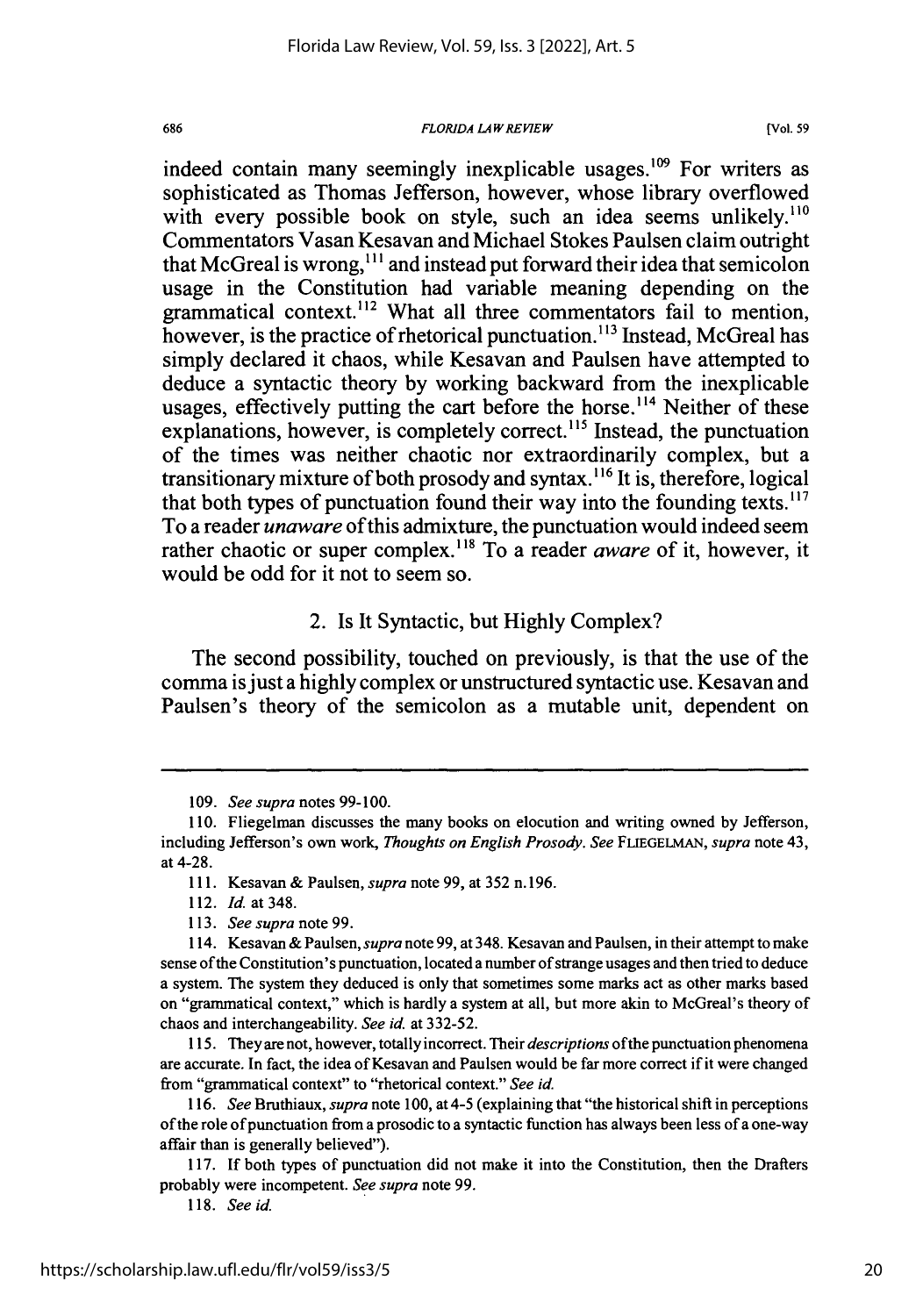#### *FLORIDA LAWREVIEW*

**[Vol. 59**

indeed contain many seemingly inexplicable usages.<sup>109</sup> For writers as sophisticated as Thomas Jefferson, however, whose library overflowed with every possible book on style, such an idea seems unlikely.<sup>110</sup> Commentators Vasan Kesavan and Michael Stokes Paulsen claim outright that McGreal is wrong,<sup>111</sup> and instead put forward their idea that semicolon usage in the Constitution had variable meaning depending on the grammatical context.<sup>112</sup> What all three commentators fail to mention, however, is the practice of rhetorical punctuation.<sup>113</sup> Instead, McGreal has simply declared it chaos, while Kesavan and Paulsen have attempted to deduce a syntactic theory by working backward from the inexplicable usages, effectively putting the cart before the horse.<sup> $114$ </sup> Neither of these explanations, however, is completely correct.<sup>115</sup> Instead, the punctuation of the times was neither chaotic nor extraordinarily complex, but a transitionary mixture of both prosody and syntax.<sup>116</sup> It is, therefore, logical that both types of punctuation found their way into the founding texts. $117$ To a reader *unaware* of this admixture, the punctuation would indeed seem rather chaotic or super complex.<sup>118</sup> To a reader *aware* of it, however, it would be odd for it not to seem so.

### 2. Is It Syntactic, but Highly Complex?

The second possibility, touched on previously, is that the use of the comma isjust a highly complex or unstructured syntactic use. Kesavan and Paulsen's theory of the semicolon as a mutable unit, dependent on

<sup>109.</sup> *See supra* notes 99-100.

<sup>110.</sup> Fliegelman discusses the many books on elocution and writing owned by Jefferson, including Jefferson's own work, *Thoughts on English Prosody. See* **FLIEGELMAN,** *supra* note 43, at 4-28.

<sup>111.</sup> Kesavan & Paulsen, *supra* note 99, at 352 n.196.

<sup>112.</sup> *Id.* at 348.

<sup>113.</sup> *See supra* note 99.

<sup>114.</sup> Kesavan & Paulsen, *supra* note 99, at 348. Kesavan and Paulsen, in their attempt to make sense of the Constitution's punctuation, located a number of strange usages and then tried to deduce a system. The system they deduced is only that sometimes some marks act as other marks based on "grammatical context," which is hardly a system at all, but more akin to McGreal's theory of chaos and interchangeability. *See id.* at 332-52.

<sup>115.</sup> They are not, however, totally incorrect. Their *descriptions* ofthe punctuation phenomena are accurate. In fact, the idea of Kesavan and Paulsen would be far more correct if it were changed from "grammatical context" to "rhetorical context." *See id.*

*<sup>116.</sup> See* Bruthiaux, *supra* note 100, at 4-5 (explaining that "the historical shift in perceptions of the role of punctuation from a prosodic to a syntactic function has always been less of a one-way affair than is generally believed").

<sup>117.</sup> If both types of punctuation did not make it into the Constitution, then the Drafters probably were incompetent. *See supra* note 99.

<sup>118.</sup> *See id.*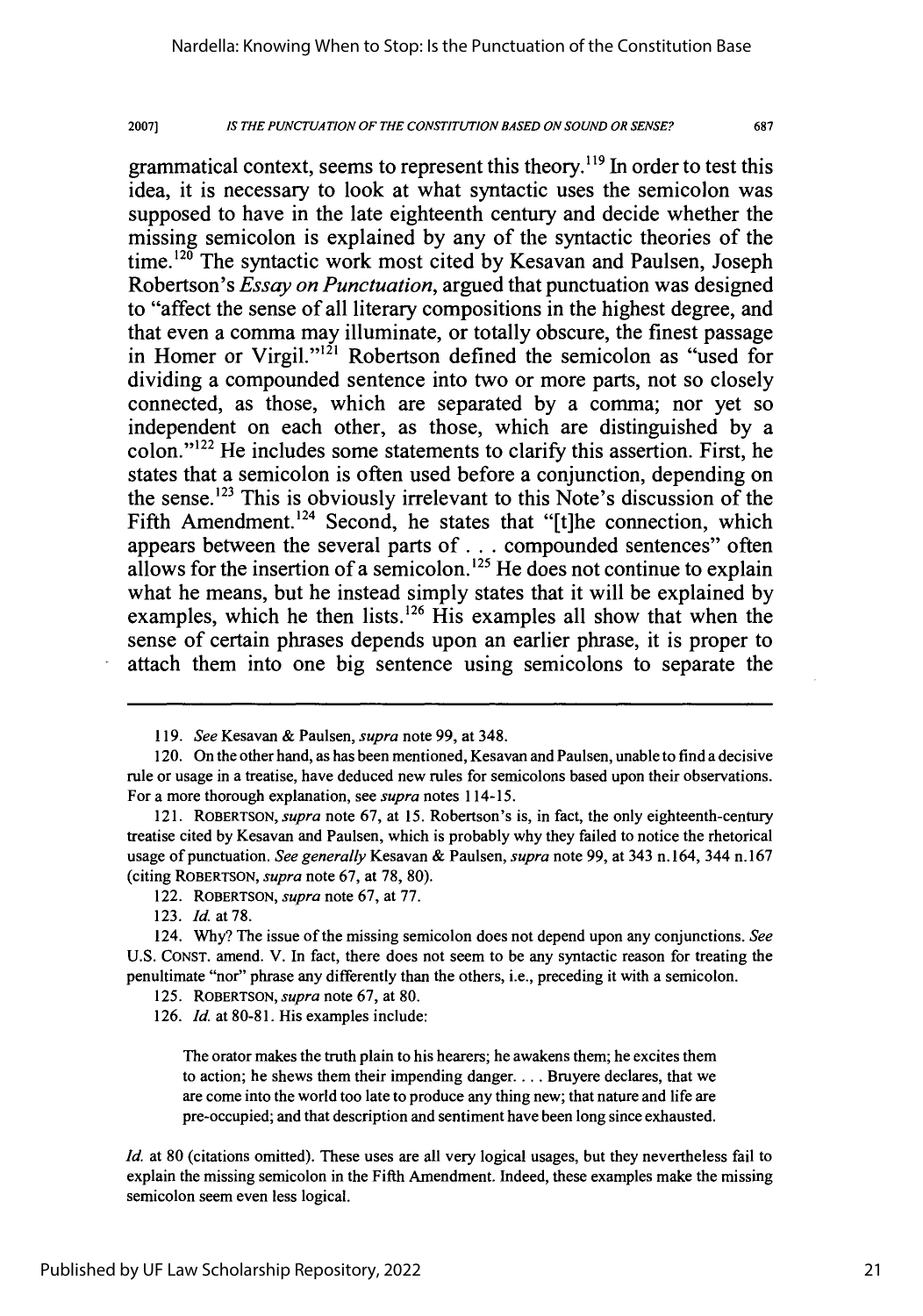20071 *IS THE PUNCTUATION OF THE CONSTITUTION BASED ON SOUND OR SENSE?* 687

grammatical context, seems to represent this theory.<sup>119</sup> In order to test this idea, it is necessary to look at what syntactic uses the semicolon was supposed to have in the late eighteenth century and decide whether the missing semicolon is explained **by** any of the syntactic theories of the time.<sup>120</sup> The syntactic work most cited by Kesavan and Paulsen, Joseph Robertson's *Essay on Punctuation,* argued that punctuation was designed to "affect the sense of all literary compositions in the highest degree, and that even a comma may illuminate, or totally obscure, the finest passage in Homer or Virgil."<sup>121</sup> Robertson defined the semicolon as "used for dividing a compounded sentence into two or more parts, not so closely connected, as those, which are separated **by** a comma; nor yet so independent on each other, as those, which are distinguished **by** a colon." $^{122}$  He includes some statements to clarify this assertion. First, he states that a semicolon is often used before a conjunction, depending on the sense.<sup> $123$ </sup> This is obviously irrelevant to this Note's discussion of the Fifth Amendment.<sup>124</sup> Second, he states that "[t]he connection, which appears between the several parts of **...** compounded sentences" often allows for the insertion of a semicolon.<sup>125</sup> He does not continue to explain what he means, but he instead simply states that it will be explained **by** examples, which he then lists.<sup>126</sup> His examples all show that when the sense of certain phrases depends upon an earlier phrase, it is proper to attach them into one big sentence using semicolons to separate the

The orator makes the truth plain to his hearers; he awakens them; he excites them to action; he shews them their impending danger **....** Bruyere declares, that we are come into the world too late to produce any thing new; that nature and life are pre-occupied; and that description and sentiment have been long since exhausted.

*Id.* at 80 (citations omitted). These uses are all very logical usages, but they nevertheless fail to explain the missing semicolon in the Fifth Amendment. Indeed, these examples make the missing semicolon seem even less logical.

*<sup>119.</sup> See* Kesavan **&** Paulsen, *supra* note **99,** at 348.

<sup>120.</sup> On the other hand, as has been mentioned, Kesavan and Paulsen, unable to find a decisive rule or usage in a treatise, have deduced new rules for semicolons based upon their observations. For a more thorough explanation, see *supra* notes 114-15.

**<sup>121.</sup> ROBERTSON,** *supra* note **67,** at **15.** Robertson's is, in fact, the only eighteenth-century treatise cited **by** Kesavan and Paulsen, which is probably why they failed to notice the rhetorical usage of punctuation. *See generally* Kesavan **&** Paulsen, *supra* note **99,** at 343 n. 164, 344 n. **167** (citing **ROBERTSON,** *supra* note **67,** at **78, 80).**

<sup>122.</sup> **ROBERTSON,** *supra* note **67,** at **77.**

**<sup>123.</sup>** *Id.* **at78.**

<sup>124.</sup> **Why?** The issue of the missing semicolon does not depend upon any conjunctions. *See* **U.S. CONST.** amend. V. In fact, there does not seem to be any syntactic reason for treating the penultimate "nor" phrase any differently than the others, i.e., preceding it with a semicolon.

**<sup>125.</sup> ROBERTSON,** *supra* note **67,** at **80.**

**<sup>126.</sup>** *Id.* at **80-81.** His examples include: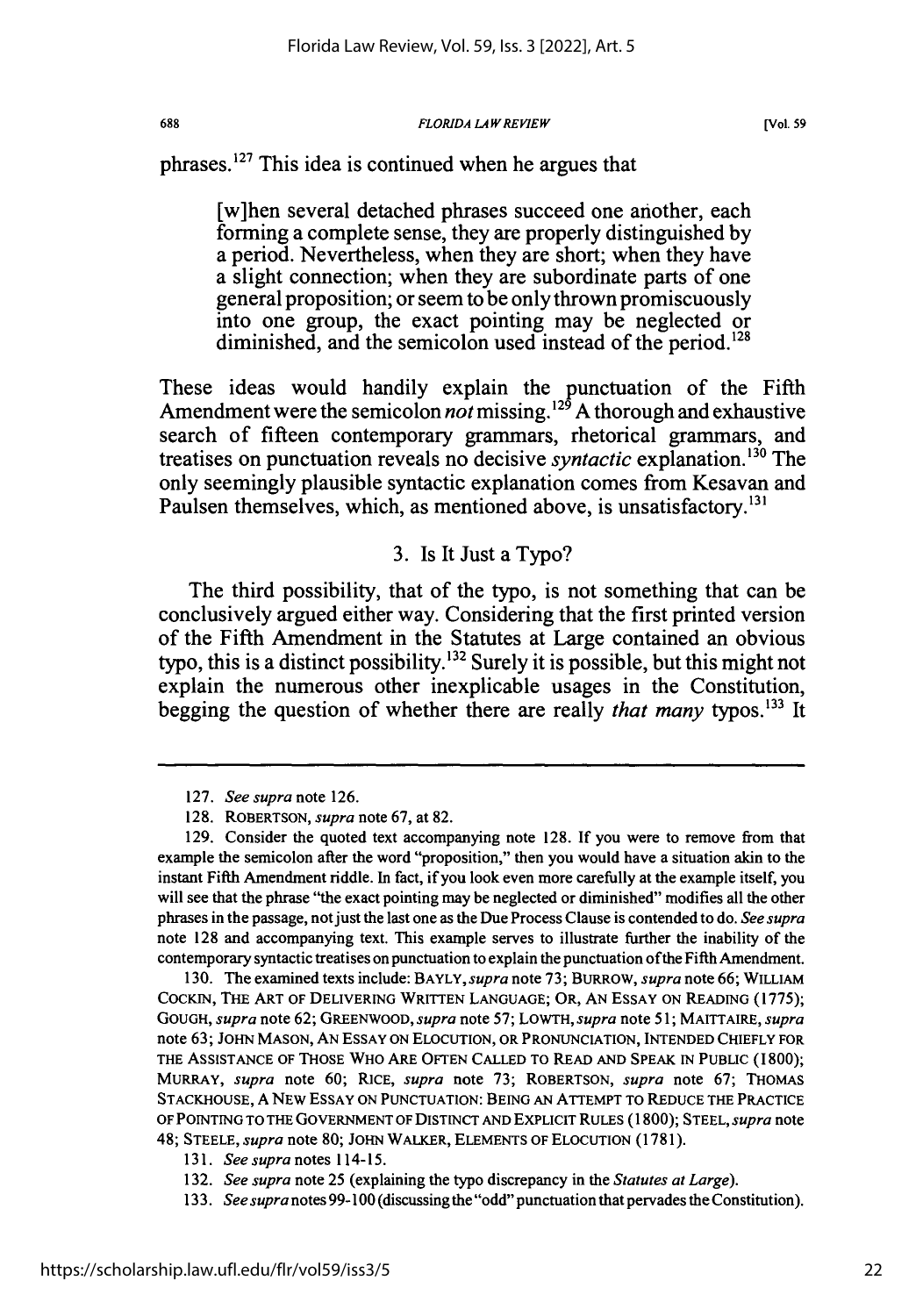#### *FLORIDA LAWREVIEW*

phrases. $127$  This idea is continued when he argues that

[w]hen several detached phrases succeed one another, each forming a complete sense, they are properly distinguished **by** a period. Nevertheless, when they are short; when they have a slight connection; when they are subordinate parts of one general proposition; or seem to be only thrown promiscuously into one group, the exact pointing may be neglected or diminished, and the semicolon used instead of the period.<sup>128</sup>

These ideas would handily explain the punctuation of the Fifth Amendment were the semicolon *not* missing.'29 **A** thorough and exhaustive search of fifteen contemporary grammars, rhetorical grammars, and treatises on punctuation reveals no decisive *syntactic* explanation.<sup>130</sup> The only seemingly plausible syntactic explanation comes from Kesavan and Paulsen themselves, which, as mentioned above, is unsatisfactory.<sup>131</sup>

## **3.** Is It Just a Typo?

The third possibility, that of the typo, is not something that can be conclusively argued either way. Considering that the first printed version of the Fifth Amendment in the Statutes at Large contained an obvious typo, this is a distinct possibility.'32 Surely it is possible, but this might not explain the numerous other inexplicable usages in the Constitution, begging the question of whether there are really *that many* typos.<sup>133</sup> It

**130.** The examined texts include: **BAYLY,supra** note **73;** BURROW, *supra* note **66;** WILLIAM COCKIN, THE ART OF **DELIVERING** WRITTEN **LANGUAGE;** OR, **AN** ESSAY **ON** READING **(1775);** GOUGH, *supra* note **62;** GREENWOOD, *supra* note **57;** LOWTH, *supra* note **51;** MAITTAIRE, *supra* note **63; JOHN MASON, AN ESSAY ON ELOCUTION,** OR **PRONUNCIATION, INTENDED** CHIEFLY FOR THE **ASSISTANCE** OF **THOSE** WHO ARE **OFTEN CALLED** TO READ **AND SPEAK IN** PUBLIC **(1800);** MURRAY, *supra* note **60; RICE,** *supra* note **73;** ROBERTSON, *supra* note **67;** THOMAS **STACKHOUSE, A** NEW **ESSAY ON PUNCTUATION: BEING AN** ATTEMPT TO **REDUCE** THE **PRACTICE** OF POINTING TO **THE** GOVERNMENT OF DISTINCT **AND** EXPLICIT RULES **(1800); STEEL,** *supra* note 48; **STEELE,** *supra* **note 80; JOHN** WALKER, **ELEMENTS** OF ELOCUTION **(1781).**

**<sup>127.</sup>** *See supra* note **126.**

**<sup>128.</sup>** ROBERTSON, *supra* **note 67,** at **82.**

**<sup>129.</sup>** Consider the quoted text accompanying note **128. If** you were to remove from that example the semicolon after the word "proposition," then you would have a situation akin to the instant Fifth Amendment riddle. In fact, if you look even more carefully at the example itself, you will see that the phrase "the exact pointing may be neglected or diminished" modifies all the other phrases in the passage, not just the last one as the Due Process Clause is contended to do. *See supra* note **128** and accompanying text. This example serves to illustrate further the inability of the contemporary syntactic treatises on punctuation to explain the punctuation ofthe Fifth Amendment.

*<sup>131.</sup> See supra* notes 114-15.

**<sup>132.</sup>** *See supra* note **25** (explaining the typo discrepancy in the *Statutes at Large).*

**<sup>133.</sup>** *See supra* notes **99- 100** (discussing the "odd" punctuation that pervades the Constitution).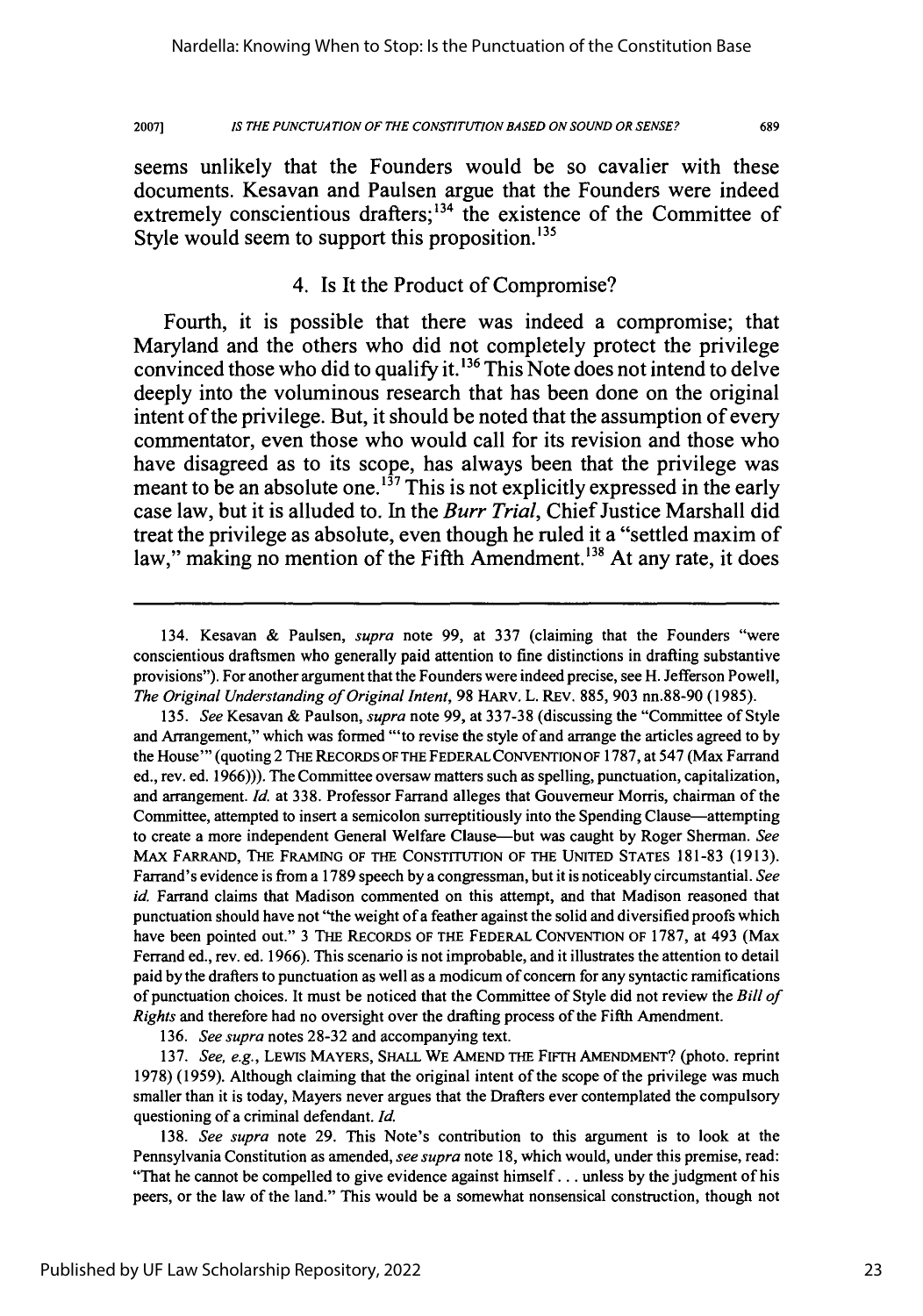20071 **IS** *THE* **PUNCTUATION OF THE CONSTITUTION BASED ON SOUND OR SENSE?** 689

seems unlikely that the Founders would be so cavalier with these documents. Kesavan and Paulsen argue that the Founders were indeed extremely conscientious drafters;<sup>134</sup> the existence of the Committee of Style would seem to support this proposition.<sup>135</sup>

# 4. Is It the Product of Compromise?

Fourth, it is possible that there was indeed a compromise; that Maryland and the others who did not completely protect the privilege convinced those who did to qualify it. **' <sup>36</sup>**This Note does not intend to delve deeply into the voluminous research that has been done on the original intent of the privilege. But, it should be noted that the assumption of every commentator, even those who would call for its revision and those who have disagreed as to its scope, has always been that the privilege was meant to be an absolute one.<sup>137</sup>This is not explicitly expressed in the early case law, but it is alluded to. In the *Burr Trial,* Chief Justice Marshall did treat the privilege as absolute, even though he ruled it a "settled maxim of law," making no mention of the Fifth Amendment.<sup>138</sup> At any rate, it does

136. *See supra* notes 28-32 and accompanying text.

137. *See, e.g.,* LEWIS MAYERS, **SHALL** WE AMEND THE FIFTH AMENDMENT? (photo. reprint 1978) (1959). Although claiming that the original intent of the scope of the privilege was much smaller than it is today, Mayers never argues that the Drafters ever contemplated the compulsory questioning of a criminal defendant. *Id.*

138. *See supra* note 29. This Note's contribution to this argument is to look at the Pennsylvania Constitution as amended, *see supra* note 18, which would, under this premise, read: "That he cannot be compelled to give evidence against himself...unless by the judgment of his peers, or the law of the land." This would be a somewhat nonsensical construction, though not

<sup>134.</sup> Kesavan & Paulsen, *supra* note 99, at 337 (claiming that the Founders "were conscientious draftsmen who generally paid attention to fine distinctions in drafting substantive provisions"). For another argument that the Founders were indeed precise, see H. Jefferson Powell, *The Original Understanding of Original Intent,* 98 HARv. L. REV. 885, 903 nn.88-90 (1985).

<sup>135.</sup> *See* Kesavan & Paulson, *supra* note 99, at 337-38 (discussing the "Committee of Style and Arrangement," which was formed "'to revise the style of and arrange the articles agreed to by the House"' (quoting 2 THE RECORDS OF THE FEDERAL CONVENTION OF 1787, at 547 (Max Farrand ed., rev. ed. 1966))). The Committee oversaw matters such as spelling, punctuation, capitalization, and arrangement. *Id.* at 338. Professor Farrand alleges that Gouvemeur Morris, chairman of the Committee, attempted to insert a semicolon surreptitiously into the Spending Clause-attempting to create a more independent General Welfare Clause-but was caught by Roger Sherman. *See* MAX FARRAND, THE FRAMING OF THE CONSTITUTION OF THE UNITED STATES 181-83 (1913). Farrand's evidence is from a **1789** speech **by** a congressman, but it is noticeably circumstantial. *See id.* Farrand claims that Madison commented on this attempt, and that Madison reasoned that punctuation should have not "the weight of a feather against the solid and diversified proofs which have been pointed out." 3 THE RECORDS OF THE FEDERAL CONVENTION OF **1787,** at 493 (Max Ferrand ed., rev. ed. 1966). This scenario is not improbable, and it illustrates the attention to detail paid by the drafters to punctuation as well as a modicum of concern for any syntactic ramifications of punctuation choices. It must be noticed that the Committee of Style did not review the *Bill of Rights* and therefore had no oversight over the drafting process of the Fifth Amendment.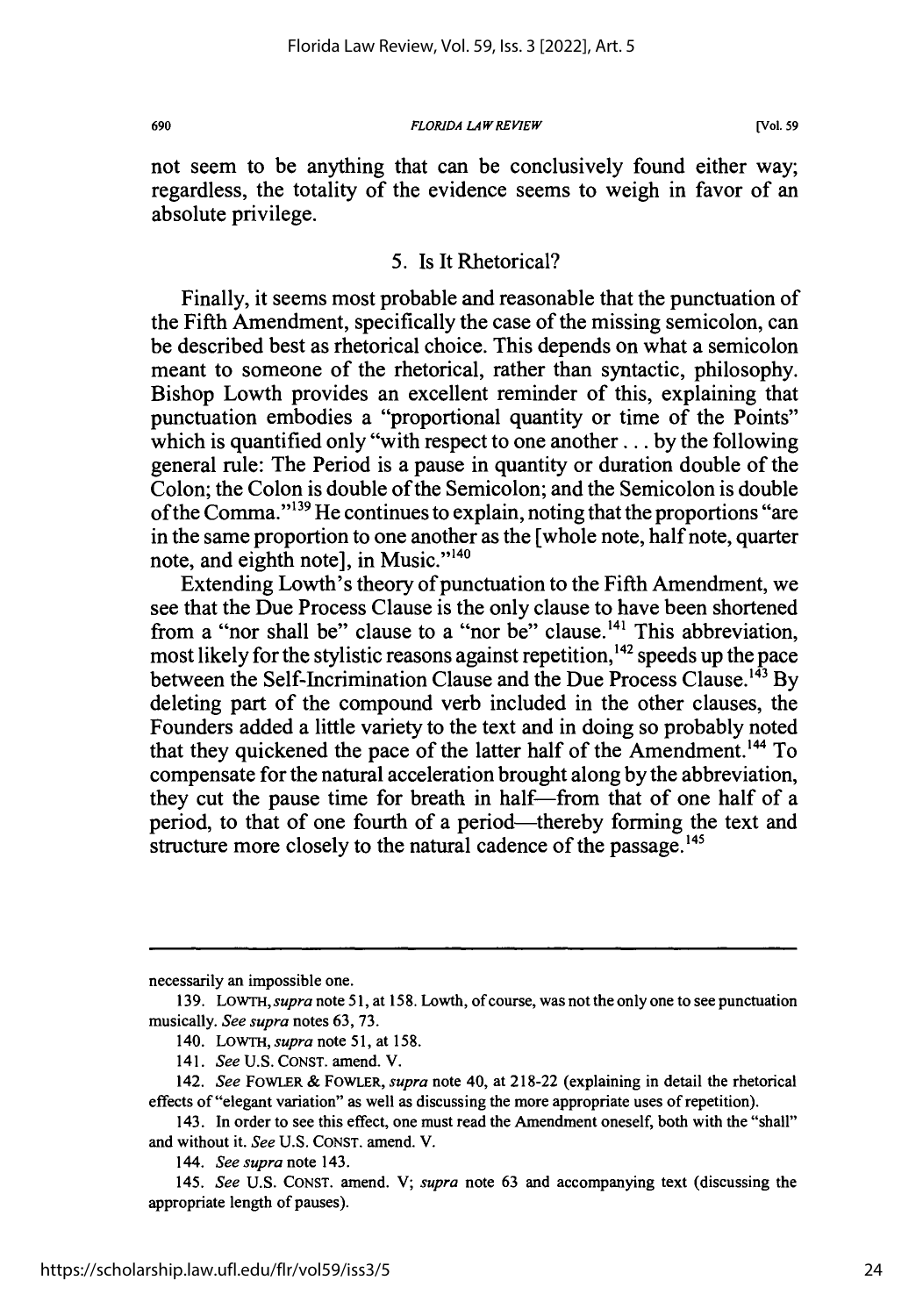#### *FLORIDA LAW REVIEW*

not seem to be anything that can be conclusively found either way; regardless, the totality of the evidence seems to weigh in favor of an absolute privilege.

### 5. Is It Rhetorical?

Finally, it seems most probable and reasonable that the punctuation of the Fifth Amendment, specifically the case of the missing semicolon, can be described best as rhetorical choice. This depends on what a semicolon meant to someone of the rhetorical, rather than syntactic, philosophy. Bishop Lowth provides an excellent reminder of this, explaining that punctuation embodies a "proportional quantity or time of the Points" which is quantified only "with respect to one another... by the following general rule: The Period is a pause in quantity or duration double of the Colon; the Colon is double of the Semicolon; and the Semicolon is double of the Comma." $139$  He continues to explain, noting that the proportions "are in the same proportion to one another as the [whole note, half note, quarter note, and eighth notel, in Music."<sup>140</sup>

Extending Lowth's theory of punctuation to the Fifth Amendment, we see that the Due Process Clause is the only clause to have been shortened from a "nor shall be" clause to a "nor be" clause.<sup>141</sup> This abbreviation, most likely for the stylistic reasons against repetition,<sup>142</sup> speeds up the pace between the Self-Incrimination Clause and the Due Process Clause.<sup>143</sup> By deleting part of the compound verb included in the other clauses, the Founders added a little variety to the text and in doing so probably noted that they quickened the pace of the latter half of the Amendment.<sup>144</sup> To compensate for the natural acceleration brought along by the abbreviation, they cut the pause time for breath in half-from that of one half of a period, to that of one fourth of a period—thereby forming the text and structure more closely to the natural cadence of the passage.<sup>145</sup>

necessarily an impossible one.

<sup>139.</sup> LOWTH, *supra* note 51, at 158. Lowth, of course, was not the only one to see punctuation musically. *See supra* notes 63, 73.

<sup>140.</sup> LOWTH, *supra* note 51, at 158.

<sup>141.</sup> *See* U.S. CONST. amend. V.

<sup>142.</sup> *See* FOWLER & FOWLER, *supra* note 40, at 218-22 (explaining in detail the rhetorical effects of "elegant variation" as well as discussing the more appropriate uses of repetition).

<sup>143.</sup> In order to see this effect, one must read the Amendment oneself, both with the "shall" and without it. *See* U.S. CONST. amend. V.

*<sup>144.</sup> See supra* note 143.

<sup>145.</sup> *See* U.S. CONST. amend. V; *supra* note 63 and accompanying text (discussing the appropriate length of pauses).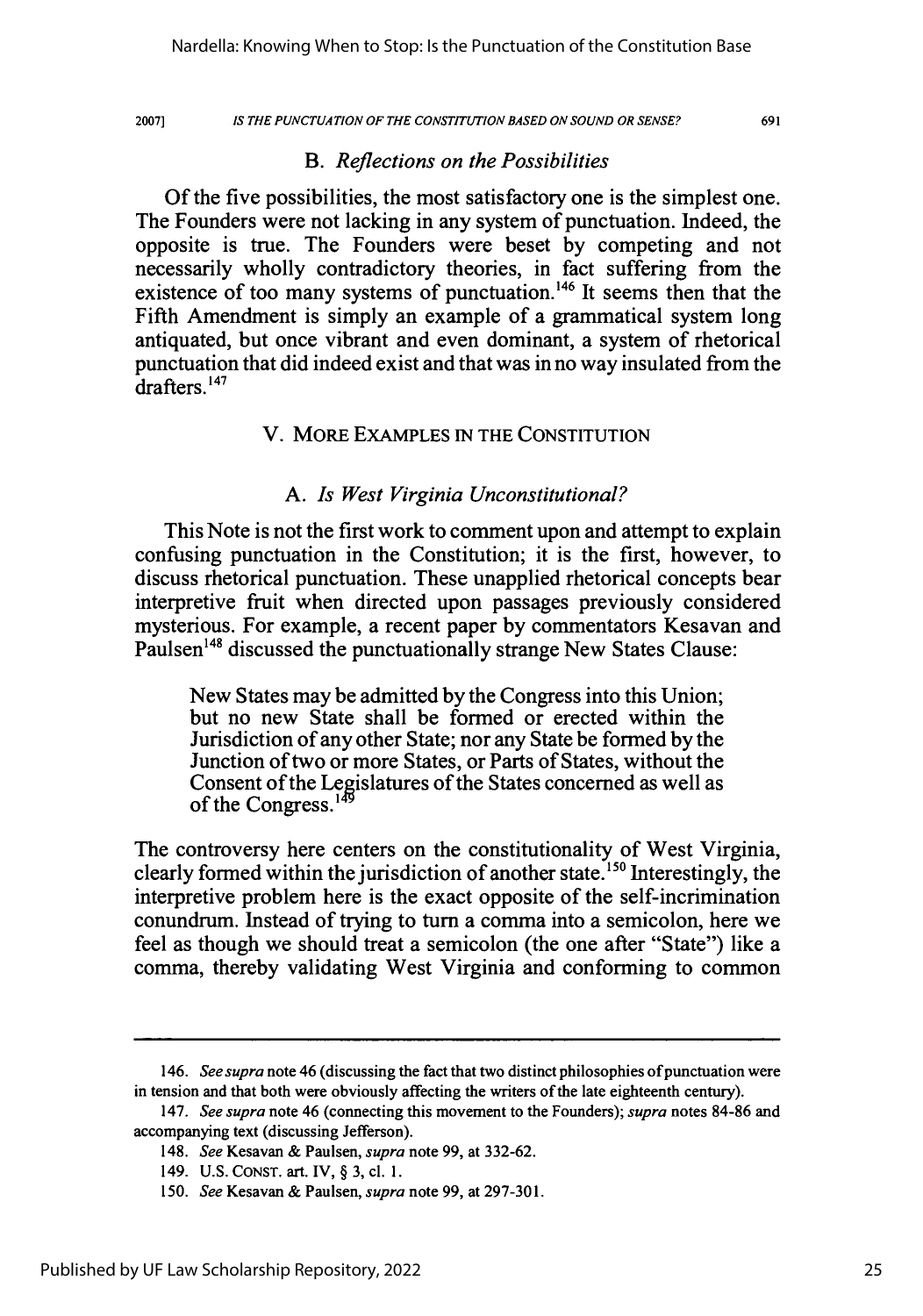#### *IS THE PUNCTUATION OF THE CONSTITUTION BASED ON SOUND OR SENSE?*

691

## *B. Reflections on the Possibilities*

Of the five possibilities, the most satisfactory one is the simplest one. The Founders were not lacking in any system of punctuation. Indeed, the opposite is true. The Founders were beset by competing and not necessarily wholly contradictory theories, in fact suffering from the existence of too many systems of punctuation.<sup>146</sup> It seems then that the Fifth Amendment is simply an example of a grammatical system long antiquated, but once vibrant and even dominant, a system of rhetorical punctuation that did indeed exist and that was in no way insulated from the drafters. **' 47**

### V. MORE **EXAMPLES IN** THE **CONSTITUTION**

### *A. Is West Virginia Unconstitutional?*

This Note is not the first work to comment upon and attempt to explain confusing punctuation in the Constitution; it is the first, however, to discuss rhetorical punctuation. These unapplied rhetorical concepts bear interpretive fruit when directed upon passages previously considered mysterious. For example, a recent paper **by** commentators Kesavan and Paulsen<sup>148</sup> discussed the punctuationally strange New States Clause:

New States may be admitted **by** the Congress into this Union; but no new State shall be formed or erected within the Jurisdiction of any other State; nor any State be formed **by** the Junction of two or more States, or Parts of States, without the Consent of the Legislatures of the States concerned as well as of the Congress.<sup>1</sup>

The controversy here centers on the constitutionality of West Virginia, clearly formed within the jurisdiction of another state.<sup>150</sup> Interestingly, the interpretive problem here is the exact opposite of the self-incrimination conundrum. Instead of trying to turn a comma into a semicolon, here we feel as though we should treat a semicolon (the one after "State") like a comma, thereby validating West Virginia and conforming to common

<sup>146.</sup> *See supra* note 46 (discussing the fact that two distinct philosophies of punctuation were in tension and that both were obviously affecting the writers of the late eighteenth century).

<sup>147.</sup> *See supra* note 46 (connecting this movement to the Founders); *supra* notes **84-86** and accompanying text (discussing Jefferson).

<sup>148.</sup> *See* Kesavan **&** Paulsen, *supra* note **99,** at **332-62.**

<sup>149.</sup> **U.S. CONST.** art. IV, § **3,** cl. **1.**

**<sup>150.</sup>** *See* Kesavan **&** Paulsen, *supra* note **99,** at **297-301.**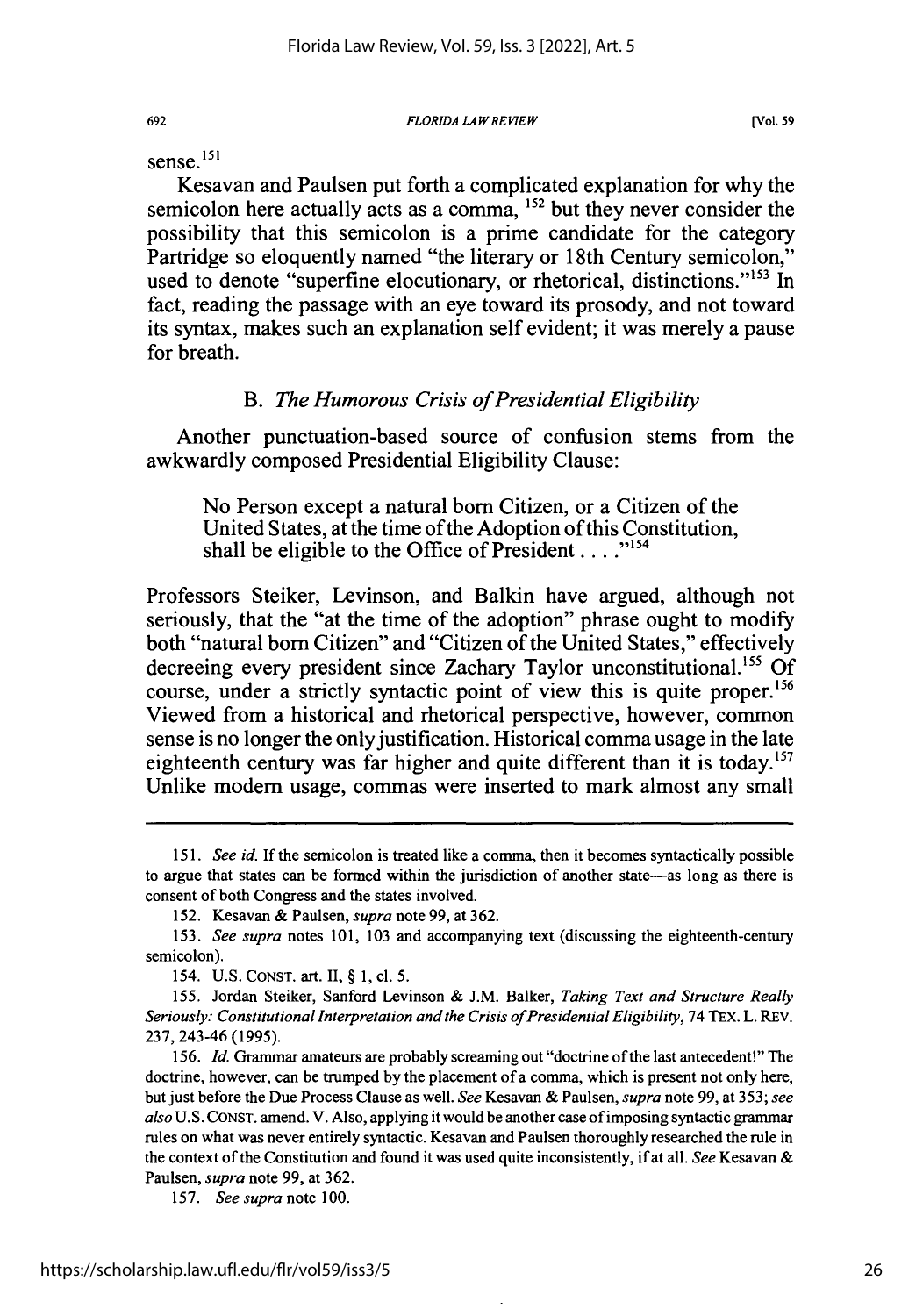sense. **151**

692

Kesavan and Paulsen put forth a complicated explanation for why the semicolon here actually acts as a comma, 152 but they never consider the possibility that this semicolon is a prime candidate for the category Partridge so eloquently named "the literary or 18th Century semicolon," used to denote "superfine elocutionary, or rhetorical, distinctions."<sup>153</sup> In fact, reading the passage with an eye toward its prosody, and not toward its syntax, makes such an explanation self evident; it was merely a pause for breath.

# *B. The Humorous Crisis of Presidential Eligibility*

Another punctuation-based source of confusion stems from the awkwardly composed Presidential Eligibility Clause:

No Person except a natural born Citizen, or a Citizen of the United States, at the time of the Adoption of this Constitution, shall be eligible to the Office of President . . . .<sup>"154</sup>

Professors Steiker, Levinson, and Balkin have argued, although not seriously, that the "at the time of the adoption" phrase ought to modify both "natural bom Citizen" and "Citizen of the United States," effectively decreeing every president since Zachary Taylor unconstitutional.<sup>155</sup> Of course, under a strictly syntactic point of view this is quite proper.<sup>156</sup> Viewed from a historical and rhetorical perspective, however, common sense is no longer the only justification. Historical comma usage in the late eighteenth century was far higher and quite different than it is today.<sup>157</sup> Unlike modem usage, commas were inserted to mark almost any small

157. *See supra note* 100.

<sup>151.</sup> *See id.* If the semicolon is treated like a comma, then it becomes syntactically possible to argue that states can be formed within the jurisdiction of another state-as long as there is consent of both Congress and the states involved.

<sup>152.</sup> Kesavan & Paulsen, *supra* note 99, at 362.

<sup>153.</sup> *See supra* notes 101, 103 and accompanying text (discussing the eighteenth-century semicolon).

<sup>154.</sup> U.S. CONST. art. II, § 1, cl. 5.

<sup>155.</sup> Jordan Steiker, Sanford Levinson & J.M. Balker, *Taking Text and Structure Really* Seriously: Constitutional Interpretation and the Crisis of Presidential Eligibility, 74 TEX. L. REV. 237, 243-46 (1995).

<sup>156.</sup> Id. Grammar amateurs are probably screaming out "doctrine of the last antecedent!" The doctrine, however, can be trumped by the placement of a comma, which is present not only here, but just before the Due Process Clause as well. *See* Kesavan & Paulsen, *supra* note 99, at 353; *see also* U.S. CONST. amend. V. Also, applying it would be another case of imposing syntactic grammar rules on what was never entirely syntactic. Kesavan and Paulsen thoroughly researched the rule in the context of the Constitution and found it was used quite inconsistently, if at all. *See* Kesavan & Paulsen, *supra* note 99, at 362.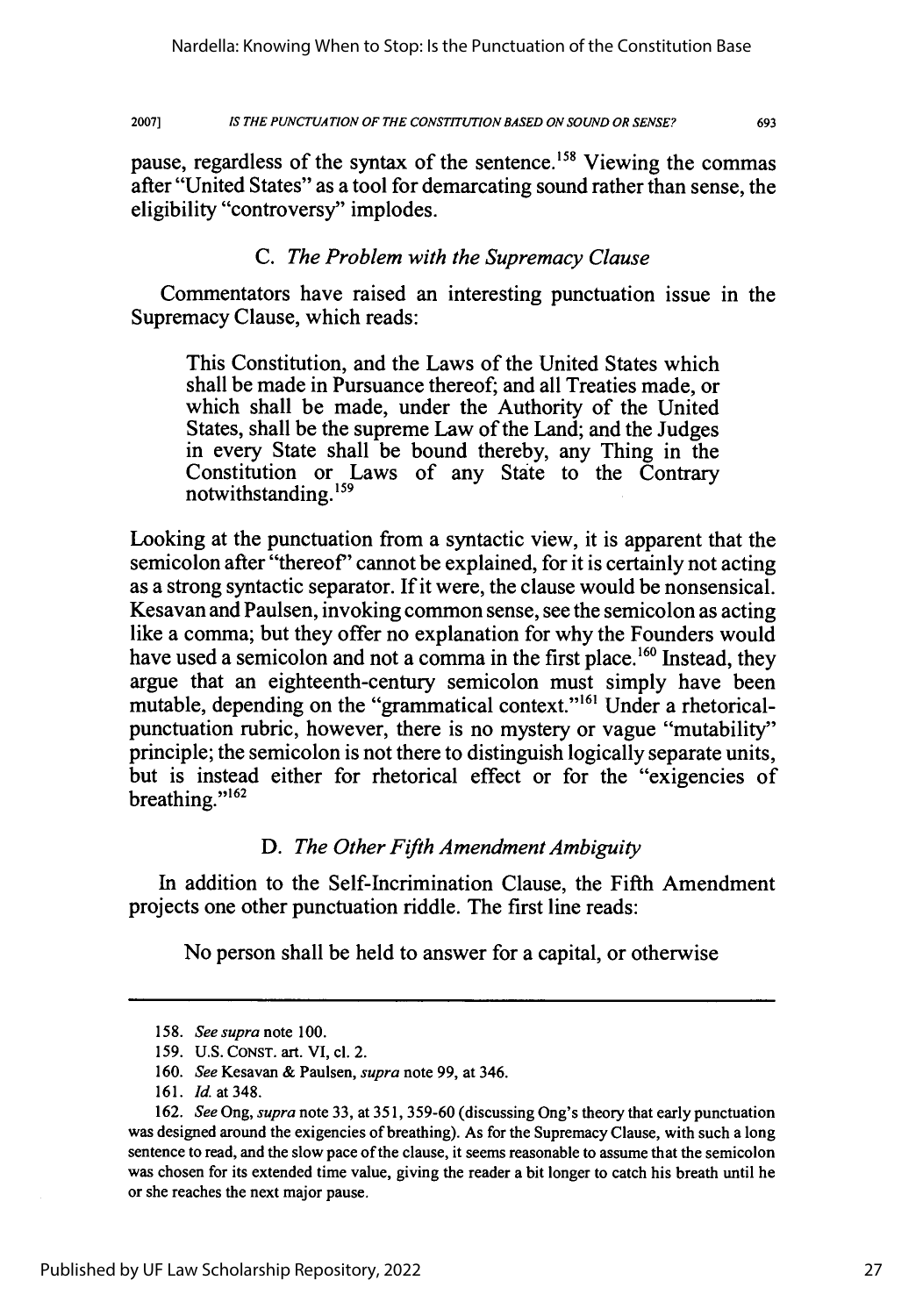2007] *IS THE PUNCTUATION OF THE CONSTITUTION BASED ON SOUND OR SENSE?* 693

pause, regardless of the syntax of the sentence.<sup>158</sup> Viewing the commas after "United States" as a tool for demarcating sound rather than sense, the eligibility "controversy" implodes.

# *C. The Problem with the Supremacy Clause*

Commentators have raised an interesting punctuation issue in the Supremacy Clause, which reads:

This Constitution, and the Laws of the United States which shall be made in Pursuance thereof; and all Treaties made, or which shall be made, under the Authority of the United States, shall be the supreme Law of the Land; and the Judges in every State shall be bound thereby, any Thing in the Constitution or Laws of any State to the Contrary notwithstanding.<sup>159</sup>

Looking at the punctuation from a syntactic view, it is apparent that the semicolon after "thereof' cannot be explained, for it is certainly not acting as a strong syntactic separator. If it were, the clause would be nonsensical. Kesavan and Paulsen, invoking common sense, see the semicolon as acting like a comma; but they offer no explanation for why the Founders would have used a semicolon and not a comma in the first place. **160** Instead, they argue that an eighteenth-century semicolon must simply have been mutable, depending on the "grammatical context."<sup>161</sup> Under a rhetoricalpunctuation rubric, however, there is no mystery or vague "mutability" principle; the semicolon is not there to distinguish logically separate units, but is instead either for rhetorical effect or for the "exigencies of breathing."<sup>162</sup>

# *D. The Other Fifth Amendment Ambiguity*

In addition to the Self-Incrimination Clause, the Fifth Amendment projects one other punctuation riddle. The first line reads:

No person shall be held to answer for a capital, or otherwise

<sup>158.</sup> *See supra* note 100.

<sup>159.</sup> U.S. **CONST.** art. VI, cl. 2.

<sup>160.</sup> *See* Kesavan & Paulsen, *supra* note 99, at 346.

<sup>161.</sup> *Id.* at 348.

<sup>162.</sup> *See* Ong, *supra* note 33, at 351, 359-60 (discussing Ong's theory that early punctuation was designed around the exigencies of breathing). As for the Supremacy Clause, with such a long sentence to read, and the slow pace of the clause, it seems reasonable to assume that the semicolon was chosen for its extended time value, giving the reader a bit longer to catch his breath until he or she reaches the next major pause.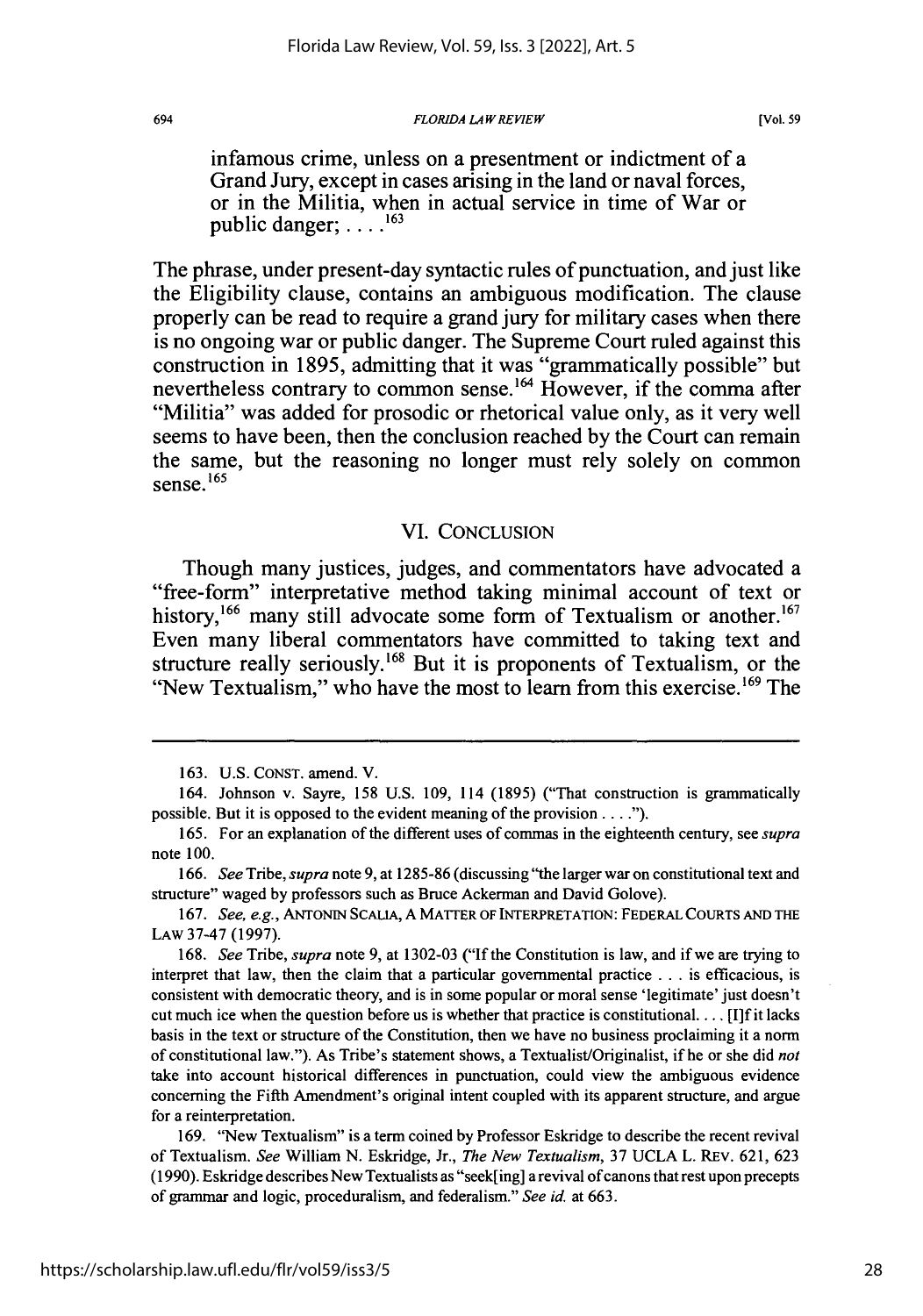#### *FLORIDA LA W REVIEW*

**[Vol. 59**

infamous crime, unless on a presentment or indictment of a Grand Jury, except in cases arising in the land or naval forces, or in the Militia, when in actual service in time of War or public danger; **.... <sup>163</sup>**

The phrase, under present-day syntactic rules of punctuation, and just like the Eligibility clause, contains an ambiguous modification. The clause properly can be read to require a grand jury for military cases when there is no ongoing war or public danger. The Supreme Court ruled against this construction in **1895,** admitting that it was "grammatically possible" but nevertheless contrary to common sense.<sup>164</sup> However, if the comma after "Militia" was added for prosodic or rhetorical value only, as it very well seems to have been, then the conclusion reached **by** the Court can remain the same, but the reasoning no longer must rely solely on common sense.<sup>165</sup>

#### VI. CONCLUSION

Though many justices, judges, and commentators have advocated a "free-form" interpretative method taking minimal account of text or history,  $166$  many still advocate some form of Textualism or another.<sup>167</sup> Even many liberal commentators have committed to taking text and structure really seriously.<sup>168</sup> But it is proponents of Textualism, or the "New Textualism," who have the most to learn from this exercise. **1 <sup>69</sup>**The

<sup>163.</sup> U.S. CONST. amend. V.

<sup>164.</sup> Johnson v. Sayre, 158 U.S. 109, 114 (1895) ("That construction is grammatically possible. But it is opposed to the evident meaning of the provision **.... ").**

<sup>165.</sup> For an explanation of the different uses of commas in the eighteenth century, see *supra* note 100.

<sup>166.</sup> *See* Tribe, *supra* note 9, at 1285-86 (discussing "the larger war on constitutional text and structure" waged by professors such as Bruce Ackerman and David Golove).

<sup>167.</sup> *See, e.g.,* ANTONn- SCAUA, A MATTER OF INTERPRETATION: FEDERAL COURTS AND THE LAw 37-47 (1997).

<sup>168.</sup> *See* Tribe, *supra* note 9, at 1302-03 ("If the Constitution is law, and if we are trying to interpret that law, then the claim that a particular governmental practice **...** is efficacious, is consistent with democratic theory, and is in some popular or moral sense 'legitimate' just doesn't cut much ice when the question before us is whether that practice is constitutional.... [I]f it lacks basis in the text or structure of the Constitution, then we have no business proclaiming it a norm of constitutional law."). As Tribe's statement shows, a Textualist/Originalist, if he or she did *not* take into account historical differences in punctuation, could view the ambiguous evidence concerning the Fifth Amendment's original intent coupled with its apparent structure, and argue for a reinterpretation.

<sup>169. &</sup>quot;New Textualism" is a term coined by Professor Eskridge to describe the recent revival of Textualism. *See* William N. Eskridge, Jr., *The New Textualism,* 37 UCLA L. REV. 621, 623 (1990). Eskridge describes New Textualists as "seek[ing] a revival of canons that rest upon precepts of grammar and logic, proceduralism, and federalism." *See id.* at 663.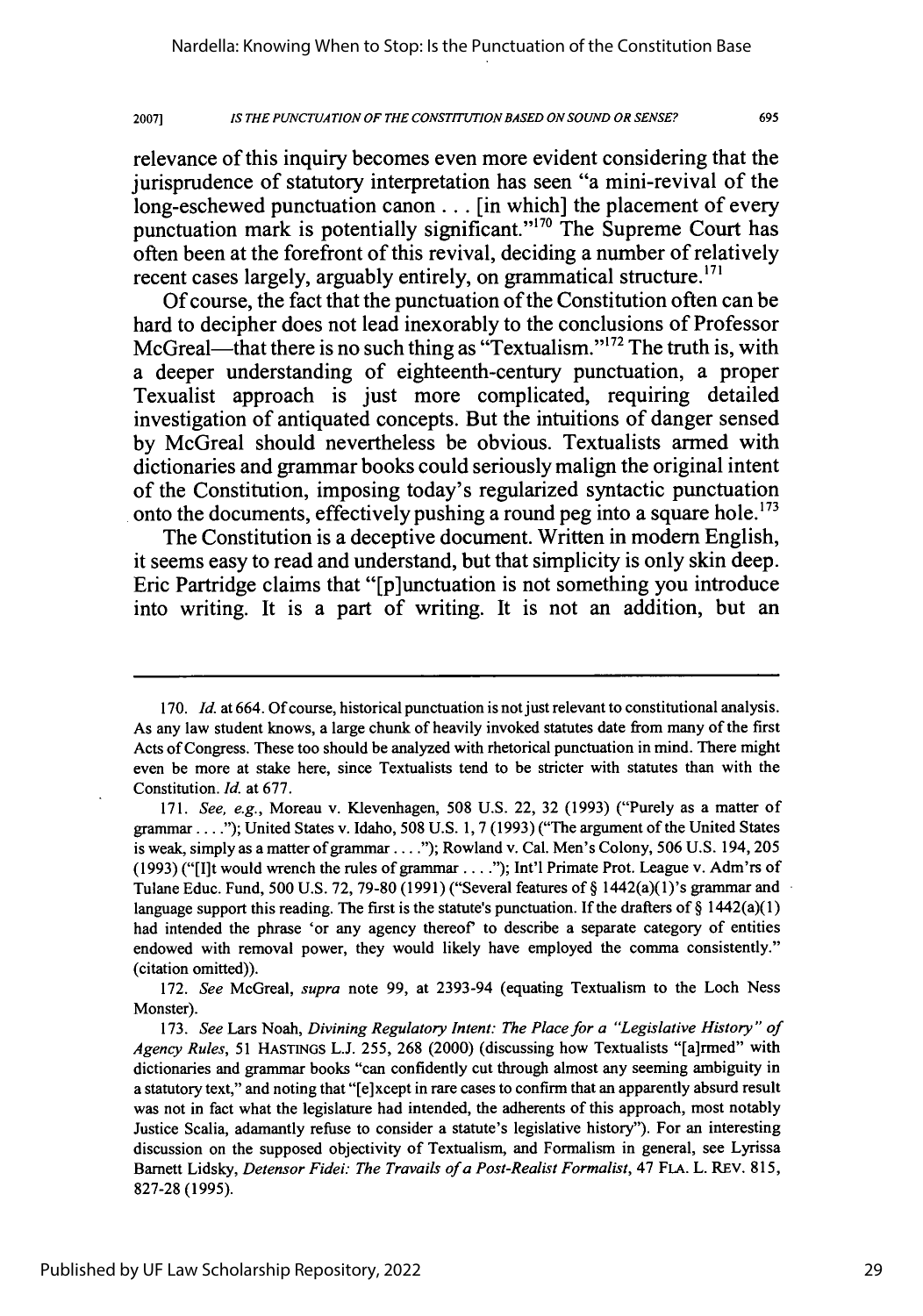20071 *IS THE PUNCTUATION OF THE CONSTITUTION BASED ON SOUND OR SENSE?*

relevance of this inquiry becomes even more evident considering that the jurisprudence of statutory interpretation has seen "a mini-revival of the long-eschewed punctuation canon... [in which] the placement of every punctuation mark is potentially significant."<sup>170</sup> The Supreme Court has often been at the forefront of this revival, deciding a number of relatively recent cases largely, arguably entirely, on grammatical structure.<sup>171</sup>

**Of** course, the fact that the punctuation of the Constitution often can be hard to decipher does not lead inexorably to the conclusions of Professor McGreal—that there is no such thing as "Textualism."<sup>172</sup> The truth is, with a deeper understanding of eighteenth-century punctuation, a proper Texualist approach is just more complicated, requiring detailed investigation of antiquated concepts. But the intuitions of danger sensed **by** McGreal should nevertheless be obvious. Textualists armed with dictionaries and grammar books could seriously malign the original intent of the Constitution, imposing today's regularized syntactic punctuation onto the documents, effectively pushing a round peg into a square hole.'73

The Constitution is a deceptive document. Written in modem English, it seems easy to read and understand, but that simplicity is only skin deep. Eric Partridge claims that "[p]unctuation is not something you introduce into writing. It is a part of writing. It is not an addition, but an

172. *See* McGreal, *supra* note 99, at 2393-94 (equating Textualism to the Loch Ness Monster).

<sup>170.</sup> *Id.* at 664. Of course, historical punctuation is not just relevant to constitutional analysis. As any law student knows, a large chunk of heavily invoked statutes date from many of the first Acts of Congress. These too should be analyzed with rhetorical punctuation in mind. There might even be more at stake here, since Textualists tend to be stricter with statutes than with the Constitution. *Id.* at 677.

<sup>171.</sup> See, e.g., Moreau v. Klevenhagen, 508 U.S. 22, 32 (1993) ("Purely as a matter of grammar **....** ); United States v. Idaho, 508 U.S. 1, **7** (1993) ("The argument of the United States is weak, simply as a matter of grammar...."); Rowland v. Cal. Men's Colony, 506 U.S. 194, 205 (1993) ("[Ilt would wrench the rules of grammar **....** ); Int'l Primate Prot. League v. Adm'rs of Tulane Educ. Fund, 500 U.S. 72, 79-80 (1991) ("Several features of § 1442(a)(1)'s grammar and language support this reading. The first is the statute's punctuation. If the drafters of  $\S 1442(a)(1)$ had intended the phrase 'or any agency thereof' to describe a separate category of entities endowed with removal power, they would likely have employed the comma consistently." (citation omitted)).

<sup>173.</sup> *See* Lars Noah, *Divining Regulatory Intent: The Place for a "Legislative History" of Agency Rules,* 51 HASTINGS L.J. 255, 268 (2000) (discussing how Textualists "[a]rmed" with dictionaries and grammar books "can confidently cut through almost any seeming ambiguity in a statutory text," and noting that "[e]xcept in rare cases to confirm that an apparently absurd result was not in fact what the legislature had intended, the adherents of this approach, most notably Justice Scalia, adamantly refuse to consider a statute's legislative history"). For an interesting discussion on the supposed objectivity of Textualism, and Formalism in general, see Lyrissa Barnett Lidsky, *Detensor Fidei: The Travails of a Post-Realist Formalist,* 47 FLA. L. REV. 815, 827-28 (1995).